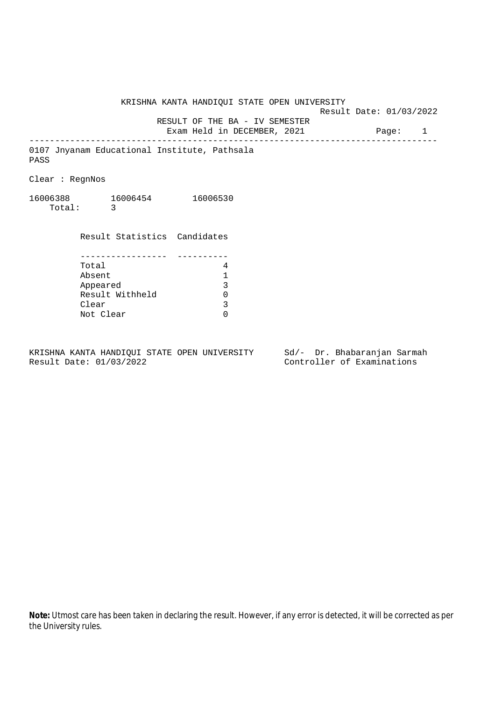Result Date: 01/03/2022 RESULT OF THE BA - IV SEMESTER

Exam Held in DECEMBER, 2021 Page: 1

--------------------------------------------------------------------------------

0107 Jnyanam Educational Institute, Pathsala PASS

Clear : RegnNos

16006388 16006454 16006530 Total: 3

Result Statistics Candidates

| Total           |  |
|-----------------|--|
| Absent          |  |
| Appeared        |  |
| Result Withheld |  |
| Clear           |  |
| Not Clear       |  |

KRISHNA KANTA HANDIQUI STATE OPEN UNIVERSITY Sd/- Dr. Bhabaranjan Sarmah Result Date: 01/03/2022 Controller of Examinations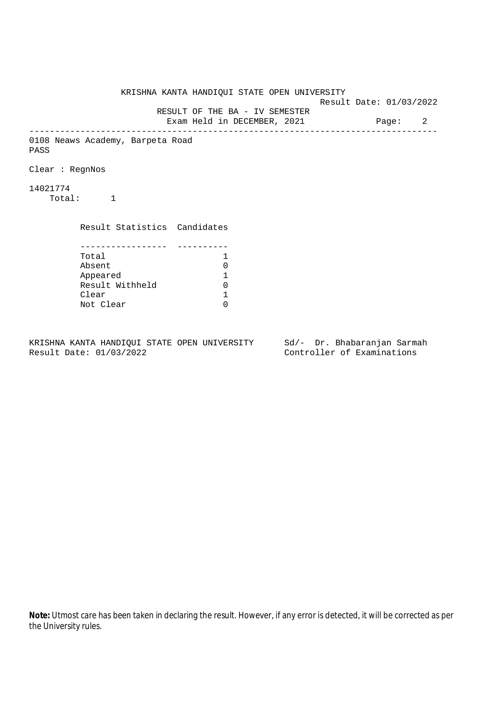KRISHNA KANTA HANDIQUI STATE OPEN UNIVERSITY Result Date: 01/03/2022 RESULT OF THE BA - IV SEMESTER Exam Held in DECEMBER, 2021 Page: 2 -------------------------------------------------------------------------------- 0108 Neaws Academy, Barpeta Road PASS Clear : RegnNos 14021774 Total: 1 Result Statistics Candidates ----------------- ---------- Total 1 Absent<br>
Appeared 1<br>
Result Withheld 0<br>
Clear 1 Appeared 1 Result Withheld 0 Clear Not Clear 0

KRISHNA KANTA HANDIQUI STATE OPEN UNIVERSITY Sd/- Dr. Bhabaranjan Sarmah Result Date: 01/03/2022 Controller of Examinations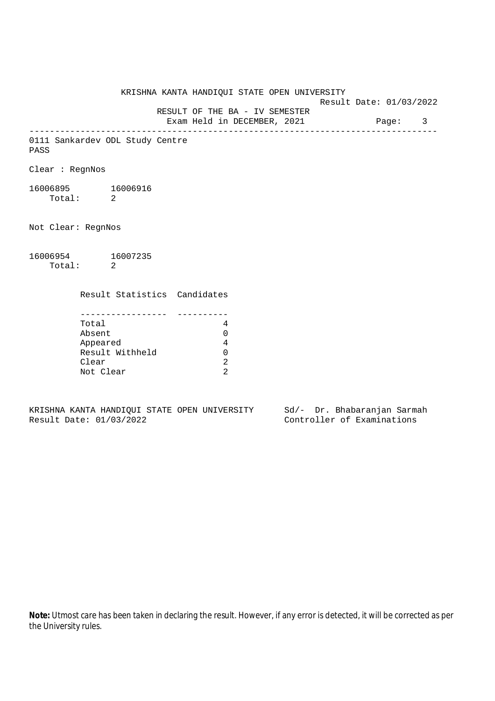KRISHNA KANTA HANDIQUI STATE OPEN UNIVERSITY Result Date: 01/03/2022 RESULT OF THE BA - IV SEMESTER Exam Held in DECEMBER, 2021 Page: 3 -------------------------------------------------------------------------------- 0111 Sankardev ODL Study Centre PASS Clear : RegnNos 16006895 16006916 Total: 2 Not Clear: RegnNos 16006954 16007235 Total: 2 Result Statistics Candidates ----------------- ---------- Total 4 Absent 0 Appeared 4 Result Withheld 0 Clear 2 Not Clear 2

KRISHNA KANTA HANDIQUI STATE OPEN UNIVERSITY Sd/- Dr. Bhabaranjan Sarmah Result Date: 01/03/2022 Controller of Examinations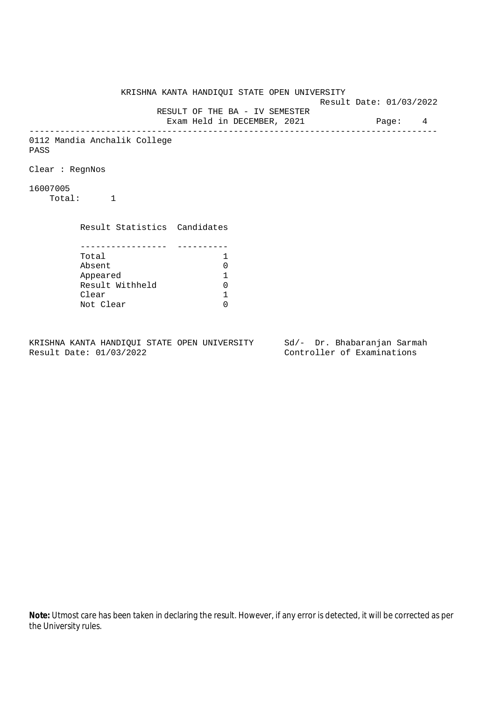KRISHNA KANTA HANDIQUI STATE OPEN UNIVERSITY Result Date: 01/03/2022 RESULT OF THE BA - IV SEMESTER Exam Held in DECEMBER, 2021 Page: 4 -------------------------------------------------------------------------------- 0112 Mandia Anchalik College PASS Clear : RegnNos 16007005 Total: 1 Result Statistics Candidates ----------------- ---------- Total 1 Absent<br>
Appeared 1<br>
Result Withheld 0<br>
Clear 1 Appeared 1 Result Withheld Clear Not Clear 0

KRISHNA KANTA HANDIQUI STATE OPEN UNIVERSITY Sd/- Dr. Bhabaranjan Sarmah Result Date: 01/03/2022 Controller of Examinations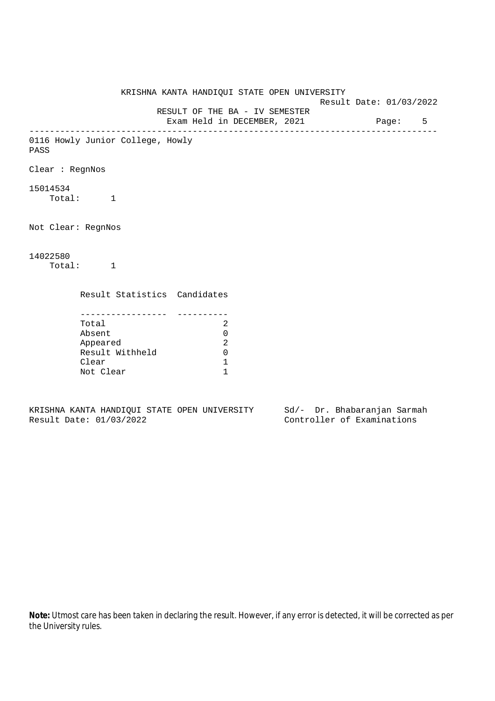KRISHNA KANTA HANDIQUI STATE OPEN UNIVERSITY Result Date: 01/03/2022 RESULT OF THE BA - IV SEMESTER Exam Held in DECEMBER, 2021 Page: 5 -------------------------------------------------------------------------------- 0116 Howly Junior College, Howly PASS Clear : RegnNos 15014534 Total: 1 Not Clear: RegnNos 14022580 Total: 1 Result Statistics Candidates ----------------- ---------- Total 2 Absent 0 Appeared 2 Result Withheld 0 Clear 1 Not Clear 1

KRISHNA KANTA HANDIQUI STATE OPEN UNIVERSITY Sd/- Dr. Bhabaranjan Sarmah Result Date: 01/03/2022 Controller of Examinations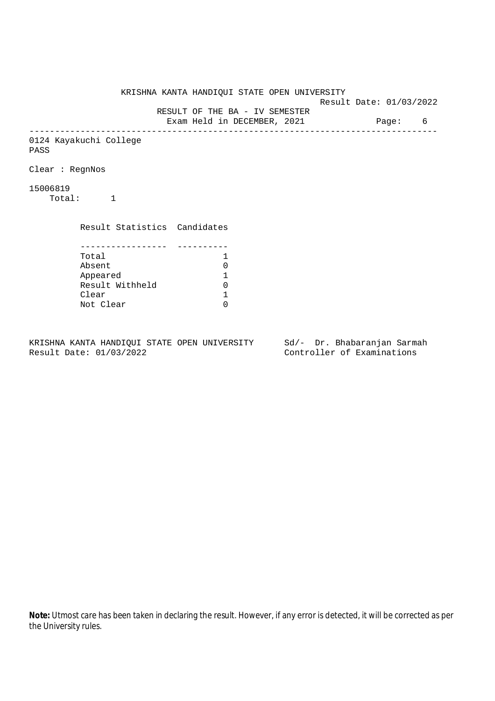KRISHNA KANTA HANDIQUI STATE OPEN UNIVERSITY Result Date: 01/03/2022 RESULT OF THE BA - IV SEMESTER Exam Held in DECEMBER, 2021 Page: 6 -------------------------------------------------------------------------------- 0124 Kayakuchi College PASS Clear : RegnNos 15006819 Total: 1 Result Statistics Candidates ----------------- ---------- Total 1<br>Absent 0 Absent<br>
Appeared 1<br>
Result Withheld 0<br>
Clear 1 Appeared 1 Result Withheld 0 Clear Not Clear 0

KRISHNA KANTA HANDIQUI STATE OPEN UNIVERSITY Sd/- Dr. Bhabaranjan Sarmah Result Date: 01/03/2022 Controller of Examinations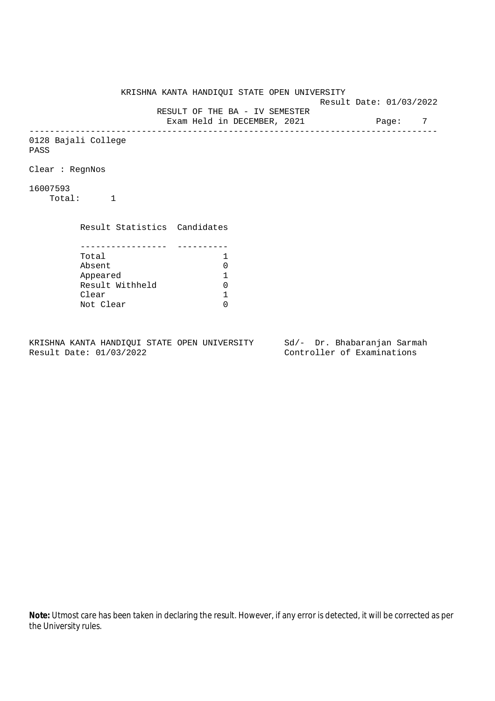KRISHNA KANTA HANDIQUI STATE OPEN UNIVERSITY Result Date: 01/03/2022 RESULT OF THE BA - IV SEMESTER Exam Held in DECEMBER, 2021 Page: 7 -------------------------------------------------------------------------------- 0128 Bajali College PASS Clear : RegnNos 16007593 Total: 1 Result Statistics Candidates ----------------- ---------- Total 1<br>Absent 0 Absent<br>
Appeared 1<br>
Result Withheld 0<br>
Clear 1 Appeared 1 Result Withheld 0 Clear Not Clear 0

KRISHNA KANTA HANDIQUI STATE OPEN UNIVERSITY Sd/- Dr. Bhabaranjan Sarmah Result Date: 01/03/2022 Controller of Examinations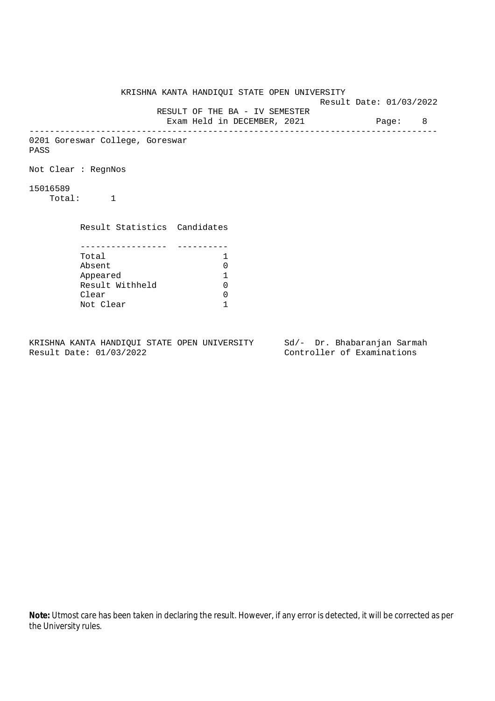KRISHNA KANTA HANDIQUI STATE OPEN UNIVERSITY Result Date: 01/03/2022 RESULT OF THE BA - IV SEMESTER Exam Held in DECEMBER, 2021 Page: 8 -------------------------------------------------------------------------------- 0201 Goreswar College, Goreswar PASS Not Clear : RegnNos 15016589 Total: 1 Result Statistics Candidates ----------------- ---------- Total 1 Absent 0<br>
Appeared 1<br>
Result Withheld 0 Appeared 1 Result Withheld Clear 0 Not Clear 1

KRISHNA KANTA HANDIQUI STATE OPEN UNIVERSITY Sd/- Dr. Bhabaranjan Sarmah Result Date: 01/03/2022 Controller of Examinations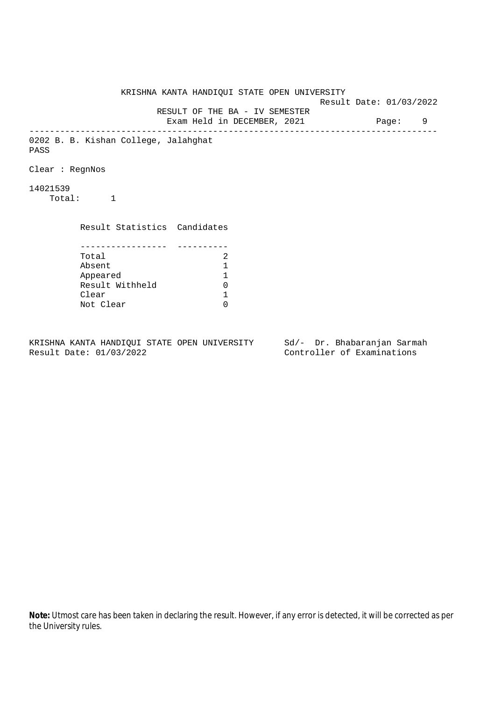KRISHNA KANTA HANDIQUI STATE OPEN UNIVERSITY Result Date: 01/03/2022 RESULT OF THE BA - IV SEMESTER Exam Held in DECEMBER, 2021 Page: 9 -------------------------------------------------------------------------------- 0202 B. B. Kishan College, Jalahghat PASS Clear : RegnNos 14021539 Total: 1 Result Statistics Candidates ----------------- ---------- Total 2<br>Absent 1 Absent<br>
Appeared 1<br>
Result Withheld 0<br>
Clear 1 Appeared 1 Result Withheld Clear Not Clear 0

KRISHNA KANTA HANDIQUI STATE OPEN UNIVERSITY Sd/- Dr. Bhabaranjan Sarmah Result Date: 01/03/2022 Controller of Examinations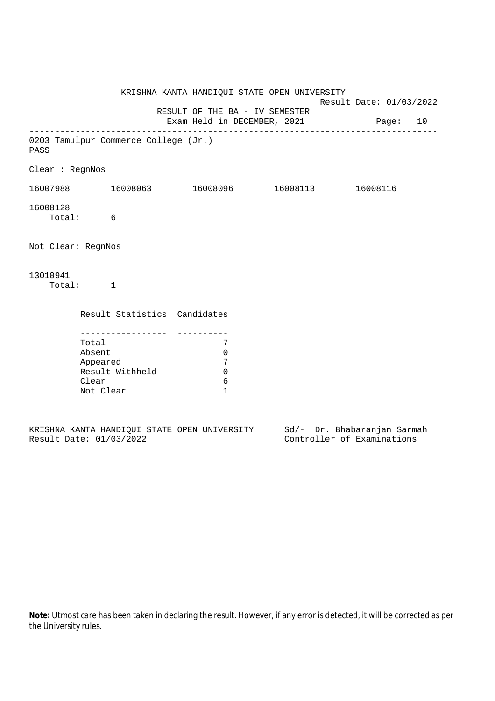|                                       |                                                 | KRISHNA KANTA HANDIQUI STATE OPEN UNIVERSITY              |                                      | Result Date: 01/03/2022 |
|---------------------------------------|-------------------------------------------------|-----------------------------------------------------------|--------------------------------------|-------------------------|
|                                       |                                                 | RESULT OF THE BA - IV SEMESTER                            |                                      |                         |
|                                       |                                                 |                                                           | Exam Held in DECEMBER, 2021 Page: 10 |                         |
| PASS                                  | 0203 Tamulpur Commerce College (Jr.)            |                                                           |                                      |                         |
| Clear : RegnNos                       |                                                 |                                                           |                                      |                         |
|                                       | $16007988$ $16008063$ $16008096$ $16008113$     |                                                           |                                      | 16008116                |
| 16008128<br>Total: 6                  |                                                 |                                                           |                                      |                         |
| Not Clear: RegnNos                    |                                                 |                                                           |                                      |                         |
| 13010941<br>Total: 1                  |                                                 |                                                           |                                      |                         |
|                                       | Result Statistics Candidates                    |                                                           |                                      |                         |
| Total<br>Absent<br>Clear<br>Not Clear | ----------------<br>Appeared<br>Result Withheld | 7<br>$\mathbf 0$<br>7<br>$\mathbf 0$<br>6<br>$\mathbf{1}$ |                                      |                         |
|                                       |                                                 |                                                           |                                      |                         |

|  |                         |  | KRISHNA KANTA HANDIOUI STATE OPEN UNIVERSITY |  | Sd/- Dr. Bhabaranjan Sarmah |  |
|--|-------------------------|--|----------------------------------------------|--|-----------------------------|--|
|  | Result Date: 01/03/2022 |  |                                              |  | Controller of Examinations  |  |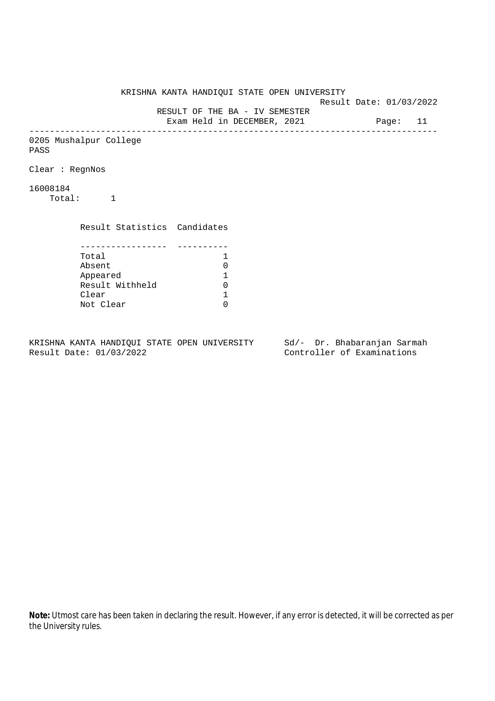KRISHNA KANTA HANDIQUI STATE OPEN UNIVERSITY Result Date: 01/03/2022 RESULT OF THE BA - IV SEMESTER Exam Held in DECEMBER, 2021 Page: 11 -------------------------------------------------------------------------------- 0205 Mushalpur College PASS Clear : RegnNos 16008184 Total: 1 Result Statistics Candidates ----------------- ---------- Total 1<br>Absent 0 Absent<br>
Appeared 1<br>
Result Withheld 0<br>
Clear 1 Appeared 1 Result Withheld Clear Not Clear 0

KRISHNA KANTA HANDIQUI STATE OPEN UNIVERSITY Sd/- Dr. Bhabaranjan Sarmah Result Date: 01/03/2022 Controller of Examinations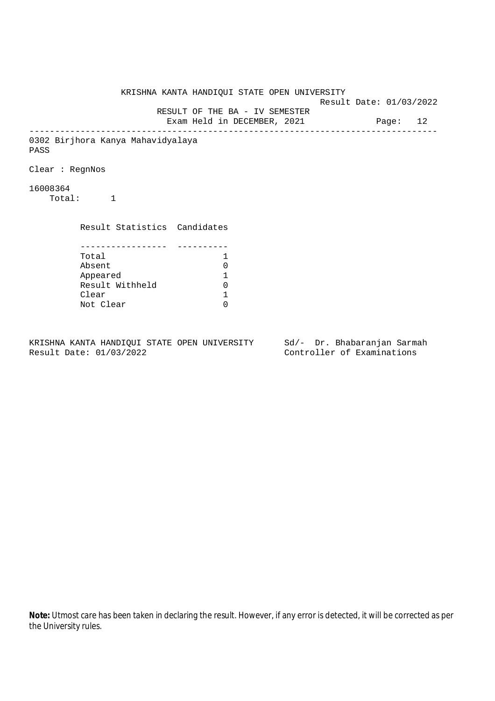KRISHNA KANTA HANDIQUI STATE OPEN UNIVERSITY Result Date: 01/03/2022 RESULT OF THE BA - IV SEMESTER Exam Held in DECEMBER, 2021 Page: 12 -------------------------------------------------------------------------------- 0302 Birjhora Kanya Mahavidyalaya PASS Clear : RegnNos 16008364 Total: 1 Result Statistics Candidates ----------------- ---------- Total 1 Absent<br>
Appeared 1<br>
Result Withheld 0<br>
Clear 1 Appeared 1 Result Withheld Clear Not Clear 0

KRISHNA KANTA HANDIQUI STATE OPEN UNIVERSITY Sd/- Dr. Bhabaranjan Sarmah Result Date: 01/03/2022 Controller of Examinations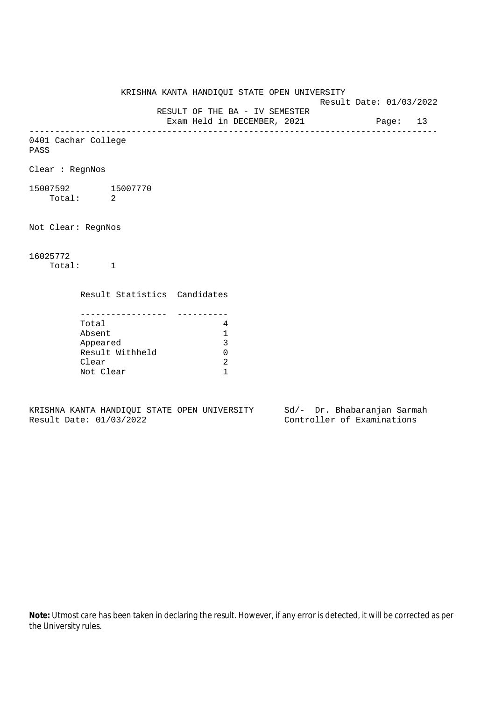Result Date: 01/03/2022 RESULT OF THE BA - IV SEMESTER

Exam Held in DECEMBER, 2021 Page: 13

-------------------------------------------------------------------------------- 0401 Cachar College

PASS

Clear : RegnNos

15007592 15007770 Total: 2

Not Clear: RegnNos

16025772

Total: 1

Result Statistics Candidates

| Total           |  |
|-----------------|--|
| Absent          |  |
| Appeared        |  |
| Result Withheld |  |
| Clear           |  |
| Not Clear       |  |

KRISHNA KANTA HANDIQUI STATE OPEN UNIVERSITY Sd/- Dr. Bhabaranjan Sarmah Result Date: 01/03/2022 Controller of Examinations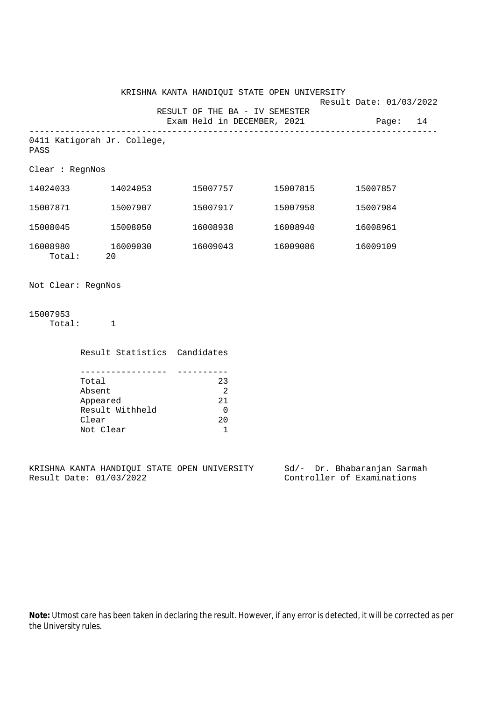|                    |                          |                                                              |                                                                | KRISHNA KANTA HANDIQUI STATE OPEN UNIVERSITY                           |                         |          |  |
|--------------------|--------------------------|--------------------------------------------------------------|----------------------------------------------------------------|------------------------------------------------------------------------|-------------------------|----------|--|
|                    |                          |                                                              |                                                                | RESULT OF THE BA - IV SEMESTER<br>Exam Held in DECEMBER, 2021 Page: 14 | Result Date: 01/03/2022 |          |  |
| PASS               |                          | _____________________________<br>0411 Katigorah Jr. College, |                                                                |                                                                        |                         |          |  |
| Clear : RegnNos    |                          |                                                              |                                                                |                                                                        |                         |          |  |
|                    |                          | 14024033 14024053                                            |                                                                | 15007757 15007815                                                      |                         | 15007857 |  |
|                    |                          | 15007871 15007907                                            |                                                                | 15007917 15007958                                                      |                         | 15007984 |  |
| 15008045           |                          | 15008050                                                     | 16008938                                                       | 16008940                                                               |                         | 16008961 |  |
|                    | Total: 20                | 16008980 16009030                                            | 16009043                                                       | 16009086                                                               |                         | 16009109 |  |
| Not Clear: RegnNos |                          |                                                              |                                                                |                                                                        |                         |          |  |
| 15007953           | Total: 1                 |                                                              |                                                                |                                                                        |                         |          |  |
|                    |                          | Result Statistics Candidates                                 |                                                                |                                                                        |                         |          |  |
|                    | Total<br>Absent<br>Clear | --------------<br>Appeared<br>Result Withheld                | 23<br>$\overline{\phantom{0}}^2$<br>21<br>$\overline{0}$<br>20 |                                                                        |                         |          |  |

KRISHNA KANTA HANDIQUI STATE OPEN UNIVERSITY Sd/- Dr. Bhabaranjan Sarmah Result Date: 01/03/2022 Controller of Examinations

Not Clear 1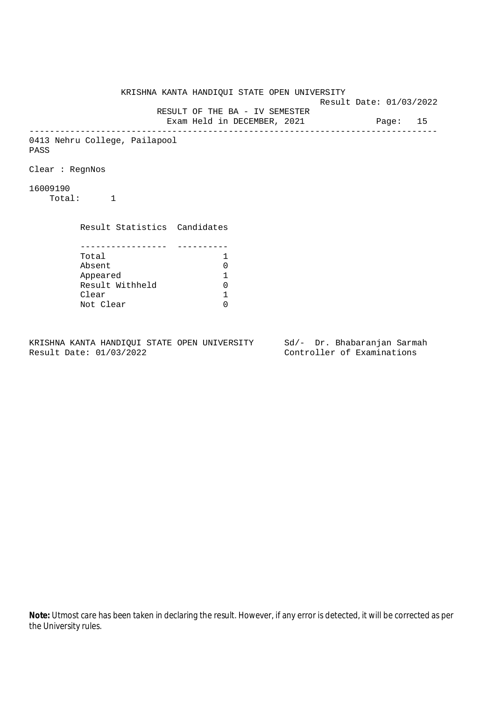KRISHNA KANTA HANDIQUI STATE OPEN UNIVERSITY Result Date: 01/03/2022 RESULT OF THE BA - IV SEMESTER Exam Held in DECEMBER, 2021 Page: 15 -------------------------------------------------------------------------------- 0413 Nehru College, Pailapool PASS Clear : RegnNos 16009190 Total: 1 Result Statistics Candidates ----------------- ---------- Total 1 Absent<br>
Appeared 1<br>
Result Withheld 0<br>
Clear 1 Appeared 1 Result Withheld Clear Not Clear 0

KRISHNA KANTA HANDIQUI STATE OPEN UNIVERSITY Sd/- Dr. Bhabaranjan Sarmah Result Date: 01/03/2022 Controller of Examinations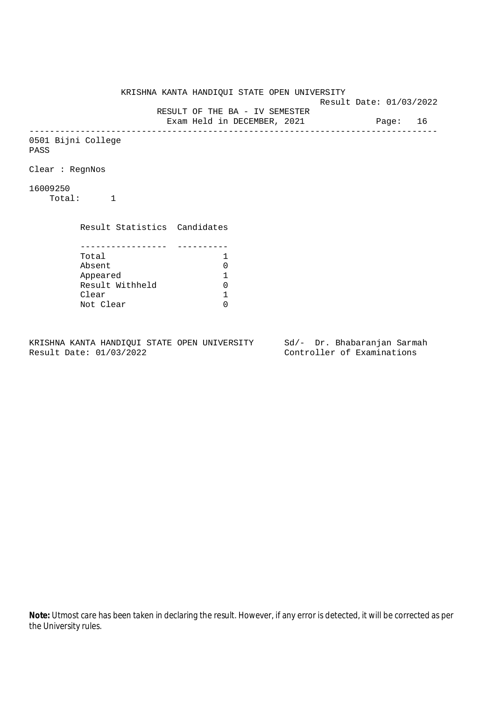KRISHNA KANTA HANDIQUI STATE OPEN UNIVERSITY Result Date: 01/03/2022 RESULT OF THE BA - IV SEMESTER Exam Held in DECEMBER, 2021 Page: 16 -------------------------------------------------------------------------------- 0501 Bijni College PASS Clear : RegnNos 16009250 Total: 1 Result Statistics Candidates ----------------- ---------- Total 1<br>Absent 0 Absent<br>
Appeared 1<br>
Result Withheld 0<br>
Clear 1 Appeared 1 Result Withheld 0 Clear Not Clear 0

KRISHNA KANTA HANDIQUI STATE OPEN UNIVERSITY Sd/- Dr. Bhabaranjan Sarmah Result Date: 01/03/2022 Controller of Examinations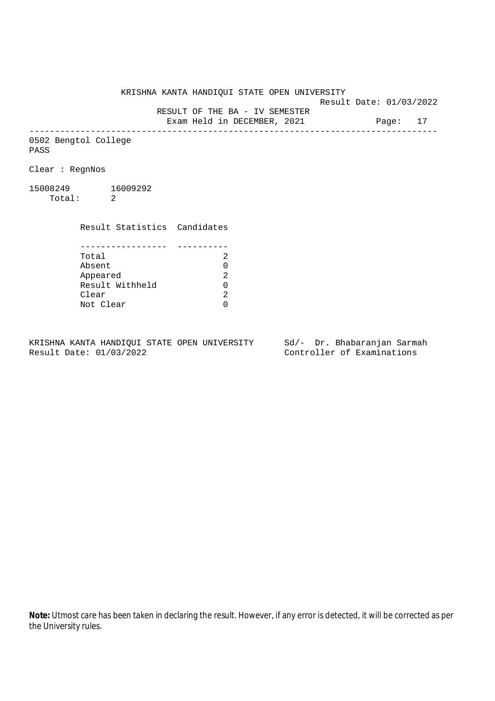Result Date: 01/03/2022

 RESULT OF THE BA - IV SEMESTER Exam Held in DECEMBER, 2021 Page: 17

--------------------------------------------------------------------------------

0502 Bengtol College PASS

Clear : RegnNos

15008249 16009292 Total: 2

Clear

 Result Statistics Candidates ----------------- ---------- Total 2 Absent<br>
Appeared 2<br>
Result Withheld 0<br>
Clear 2 Appeared Result Withheld 0

Not Clear 0

KRISHNA KANTA HANDIQUI STATE OPEN UNIVERSITY Sd/- Dr. Bhabaranjan Sarmah Result Date: 01/03/2022 Controller of Examinations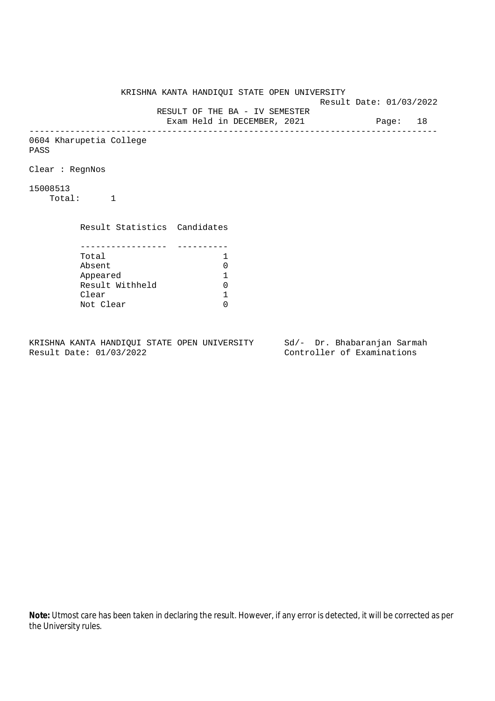KRISHNA KANTA HANDIQUI STATE OPEN UNIVERSITY Result Date: 01/03/2022 RESULT OF THE BA - IV SEMESTER Exam Held in DECEMBER, 2021 Page: 18 -------------------------------------------------------------------------------- 0604 Kharupetia College PASS Clear : RegnNos 15008513 Total: 1 Result Statistics Candidates ----------------- ---------- Total 1 Absent<br>
Appeared 1<br>
Result Withheld 0<br>
Clear 1 Appeared 1 Result Withheld Clear Not Clear 0

KRISHNA KANTA HANDIQUI STATE OPEN UNIVERSITY Sd/- Dr. Bhabaranjan Sarmah Result Date: 01/03/2022 Controller of Examinations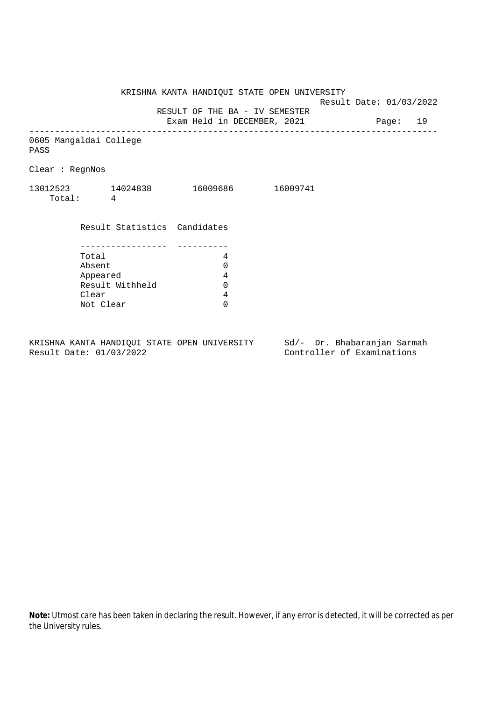Result Date: 01/03/2022

RESULT OF THE BA - IV SEMESTER

Exam Held in DECEMBER, 2021 Page: 19 --------------------------------------------------------------------------------

0605 Mangaldai College

PASS

Clear : RegnNos

| 13012523 | 14024838 | 16009686 | 16009741 |
|----------|----------|----------|----------|
| Total:   |          |          |          |

| Result Statistics Candidates |  |
|------------------------------|--|
|                              |  |
|                              |  |
| Total                        |  |
| Absent                       |  |
| Appeared                     |  |
| Result Withheld              |  |
| Clear                        |  |
| Not Clear                    |  |

KRISHNA KANTA HANDIQUI STATE OPEN UNIVERSITY Sd/- Dr. Bhabaranjan Sarmah<br>Result Date: 01/03/2022 Controller of Examinations

Controller of Examinations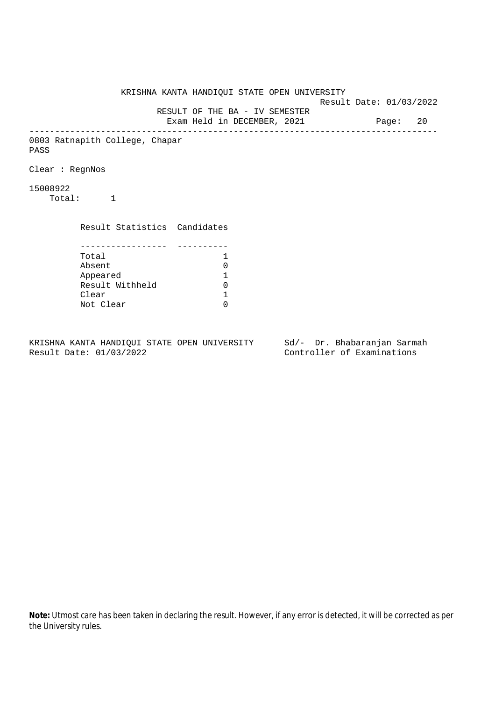KRISHNA KANTA HANDIQUI STATE OPEN UNIVERSITY Result Date: 01/03/2022 RESULT OF THE BA - IV SEMESTER Exam Held in DECEMBER, 2021 Page: 20 -------------------------------------------------------------------------------- 0803 Ratnapith College, Chapar PASS Clear : RegnNos 15008922 Total: 1 Result Statistics Candidates ----------------- ---------- Total 1 Absent<br>
Appeared 1<br>
Result Withheld 0<br>
Clear 1 Appeared 1 Result Withheld Clear Not Clear 0

KRISHNA KANTA HANDIQUI STATE OPEN UNIVERSITY Sd/- Dr. Bhabaranjan Sarmah Result Date: 01/03/2022 Controller of Examinations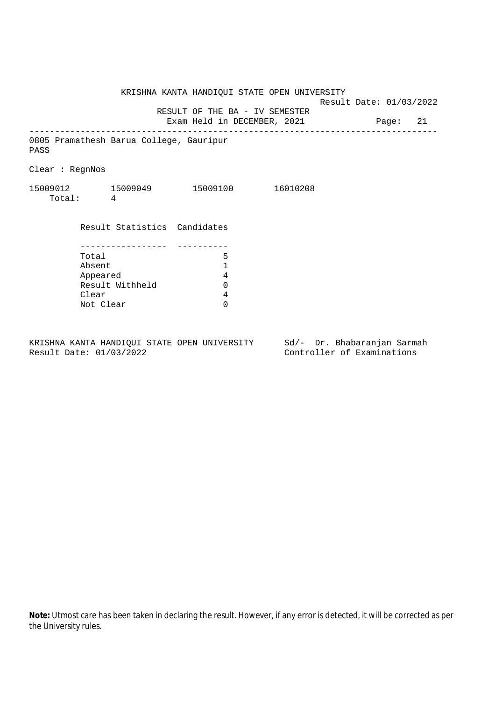KRISHNA KANTA HANDIQUI STATE OPEN UNIVERSITY Result Date: 01/03/2022 RESULT OF THE BA - IV SEMESTER Exam Held in DECEMBER, 2021 Page: 21 -------------------------------------------------------------------------------- 0805 Pramathesh Barua College, Gauripur PASS Clear : RegnNos 15009012 15009049 15009100 16010208 Total: 4 Result Statistics Candidates ----------------- ---------- Total 5 Absent 1<br>Appeared 4<br>Result Withheld 0 Appeared Result Withheld 0 Clear 4 Not Clear 0

KRISHNA KANTA HANDIQUI STATE OPEN UNIVERSITY Sd/- Dr. Bhabaranjan Sarmah Result Date: 01/03/2022 Controller of Examinations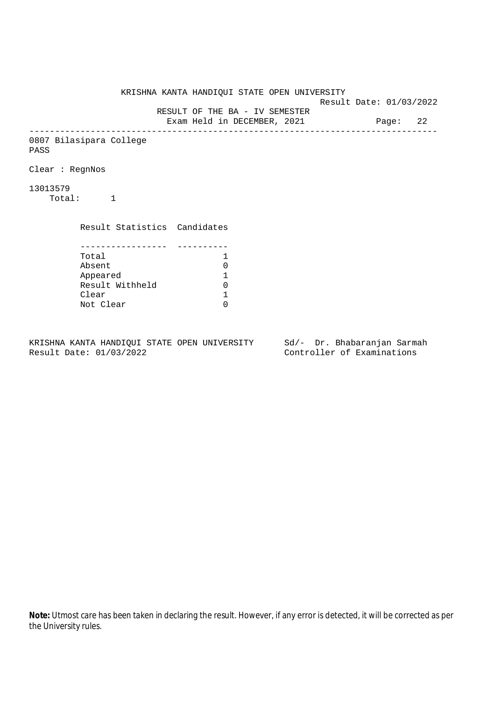KRISHNA KANTA HANDIQUI STATE OPEN UNIVERSITY Result Date: 01/03/2022 RESULT OF THE BA - IV SEMESTER Exam Held in DECEMBER, 2021 Page: 22 -------------------------------------------------------------------------------- 0807 Bilasipara College PASS Clear : RegnNos 13013579 Total: 1 Result Statistics Candidates ----------------- ---------- Total 1 Absent<br>
Appeared 1<br>
Result Withheld 0<br>
Clear 1 Appeared 1 Result Withheld Clear Not Clear 0

KRISHNA KANTA HANDIQUI STATE OPEN UNIVERSITY Sd/- Dr. Bhabaranjan Sarmah Result Date: 01/03/2022 Controller of Examinations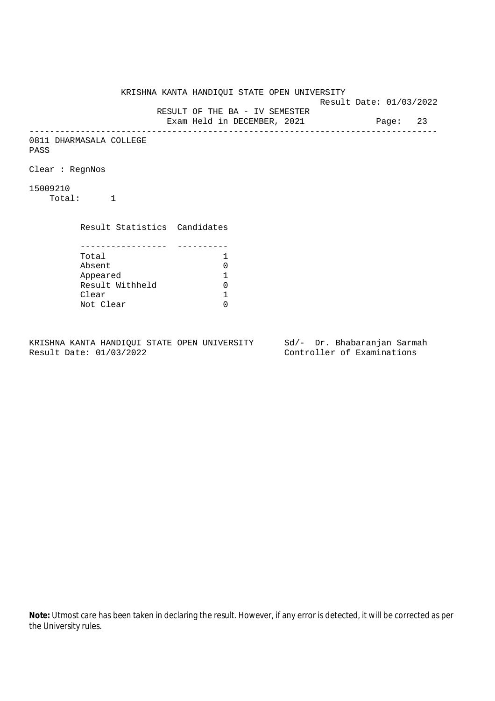KRISHNA KANTA HANDIQUI STATE OPEN UNIVERSITY Result Date: 01/03/2022 RESULT OF THE BA - IV SEMESTER Exam Held in DECEMBER, 2021 Page: 23 -------------------------------------------------------------------------------- 0811 DHARMASALA COLLEGE PASS Clear : RegnNos 15009210 Total: 1 Result Statistics Candidates ----------------- ---------- Total 1 Absent<br>
Appeared 1<br>
Result Withheld 0<br>
Clear 1 Appeared 1 Result Withheld Clear Not Clear 0

KRISHNA KANTA HANDIQUI STATE OPEN UNIVERSITY Sd/- Dr. Bhabaranjan Sarmah Result Date: 01/03/2022 Controller of Examinations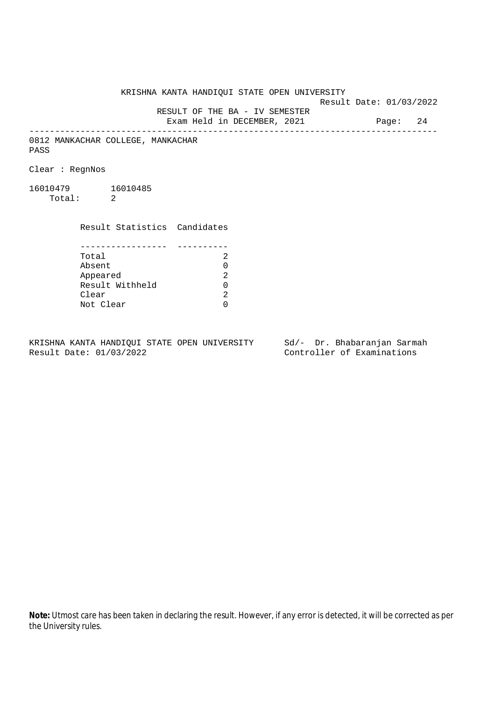Result Date: 01/03/2022

 RESULT OF THE BA - IV SEMESTER Exam Held in DECEMBER, 2021 Page: 24

--------------------------------------------------------------------------------

0812 MANKACHAR COLLEGE, MANKACHAR PASS

Clear : RegnNos

16010479 16010485 Total: 2

> Result Statistics Candidates ----------------- ----------

| Total           | 2  |
|-----------------|----|
| Absent          | ∩  |
| Appeared        | 2. |
| Result Withheld | 0  |
| Clear           | 2  |
| Not Clear       |    |

KRISHNA KANTA HANDIQUI STATE OPEN UNIVERSITY Sd/- Dr. Bhabaranjan Sarmah Result Date: 01/03/2022 Controller of Examinations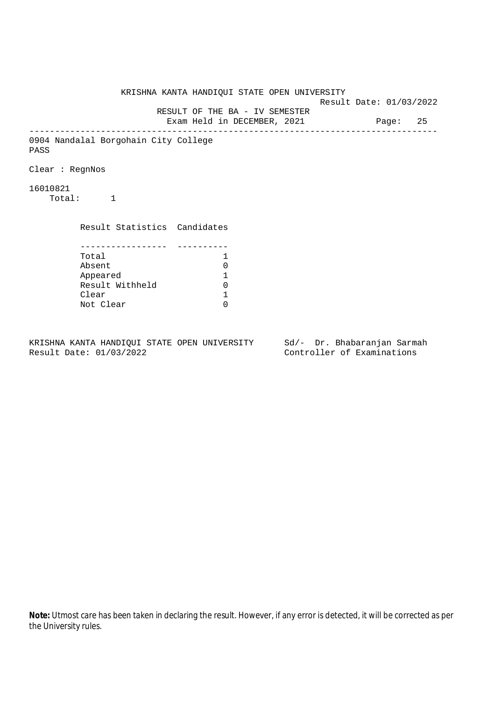KRISHNA KANTA HANDIQUI STATE OPEN UNIVERSITY Result Date: 01/03/2022 RESULT OF THE BA - IV SEMESTER Exam Held in DECEMBER, 2021 Page: 25 -------------------------------------------------------------------------------- 0904 Nandalal Borgohain City College PASS Clear : RegnNos 16010821 Total: 1 Result Statistics Candidates ----------------- ---------- Total 1 Absent<br>
Appeared 1<br>
Result Withheld 0<br>
Clear 1 Appeared 1 Result Withheld Clear Not Clear 0

KRISHNA KANTA HANDIQUI STATE OPEN UNIVERSITY Sd/- Dr. Bhabaranjan Sarmah Result Date: 01/03/2022 Controller of Examinations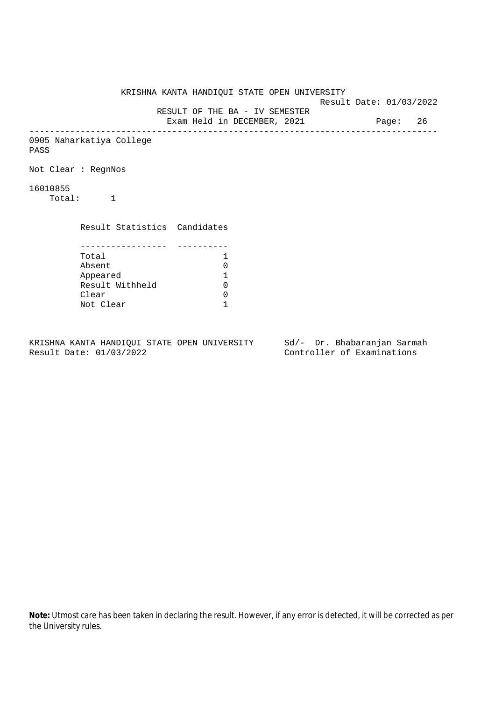KRISHNA KANTA HANDIQUI STATE OPEN UNIVERSITY Result Date: 01/03/2022 RESULT OF THE BA - IV SEMESTER Exam Held in DECEMBER, 2021 Page: 26 -------------------------------------------------------------------------------- 0905 Naharkatiya College PASS Not Clear : RegnNos 16010855 Total: 1 Result Statistics Candidates ----------------- ---------- Total 1 Absent 0<br>
Appeared 1<br>
Result Withheld 0 Appeared 1 Result Withheld 0 Clear 0 Not Clear 1

KRISHNA KANTA HANDIQUI STATE OPEN UNIVERSITY Sd/- Dr. Bhabaranjan Sarmah Result Date: 01/03/2022 Controller of Examinations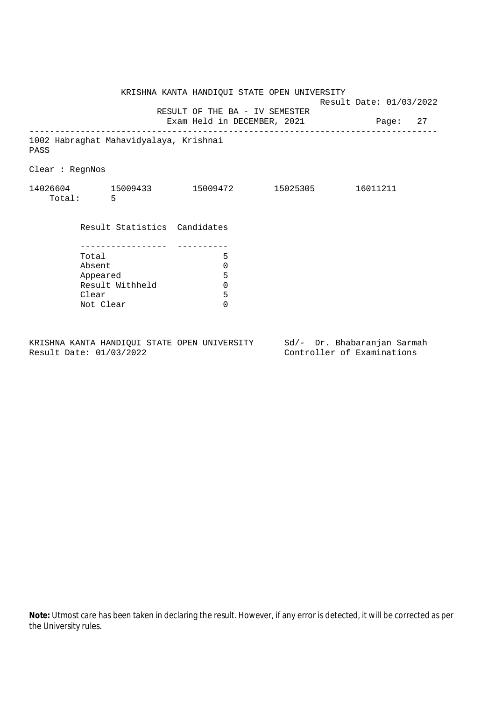|                 |           |                                        | KRISHNA KANTA HANDIQUI STATE OPEN UNIVERSITY                           |  | Result Date: 01/03/2022 |          |  |
|-----------------|-----------|----------------------------------------|------------------------------------------------------------------------|--|-------------------------|----------|--|
|                 |           |                                        | RESULT OF THE BA - IV SEMESTER<br>Exam Held in DECEMBER, 2021 Page: 27 |  |                         |          |  |
| PASS            |           | 1002 Habraghat Mahavidyalaya, Krishnai |                                                                        |  |                         |          |  |
| Clear : RegnNos |           |                                        |                                                                        |  |                         |          |  |
|                 | Total: 5  |                                        | $14026604$ $15009433$ $15009472$ $15025305$                            |  |                         | 16011211 |  |
|                 |           |                                        | Result Statistics Candidates                                           |  |                         |          |  |
|                 |           |                                        |                                                                        |  |                         |          |  |
|                 | Total     |                                        | 5                                                                      |  |                         |          |  |
|                 | Absent    |                                        | 0                                                                      |  |                         |          |  |
|                 | Appeared  |                                        | 5                                                                      |  |                         |          |  |
|                 |           | Result Withheld                        | 0                                                                      |  |                         |          |  |
|                 | Clear     |                                        | 5                                                                      |  |                         |          |  |
|                 | Not Clear |                                        | $\Omega$                                                               |  |                         |          |  |
|                 |           |                                        |                                                                        |  |                         |          |  |
|                 |           |                                        |                                                                        |  |                         |          |  |

KRISHNA KANTA HANDIQUI STATE OPEN UNIVERSITY Sd/- Dr. Bhabaranjan Sarmah<br>Result Date: 01/03/2022 Controller of Examinations

Controller of Examinations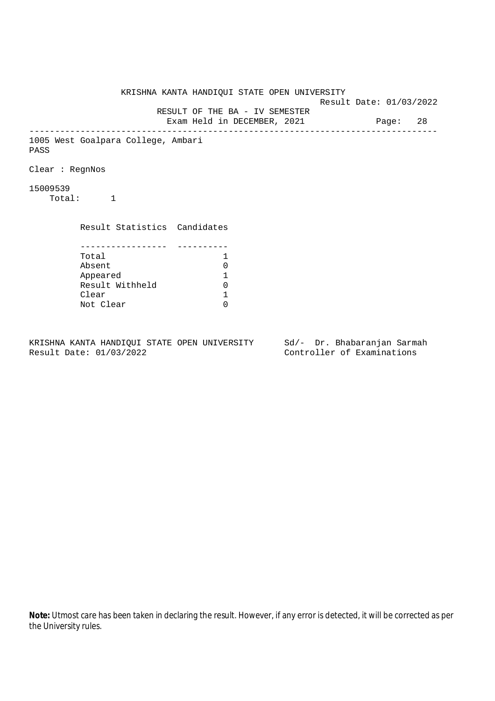KRISHNA KANTA HANDIQUI STATE OPEN UNIVERSITY Result Date: 01/03/2022 RESULT OF THE BA - IV SEMESTER Exam Held in DECEMBER, 2021 Page: 28 -------------------------------------------------------------------------------- 1005 West Goalpara College, Ambari PASS Clear : RegnNos 15009539 Total: 1 Result Statistics Candidates ----------------- ---------- Total 1 Absent<br>
Appeared 1<br>
Result Withheld 0<br>
Clear 1 Appeared 1 Result Withheld Clear Not Clear 0

KRISHNA KANTA HANDIQUI STATE OPEN UNIVERSITY Sd/- Dr. Bhabaranjan Sarmah Result Date: 01/03/2022 Controller of Examinations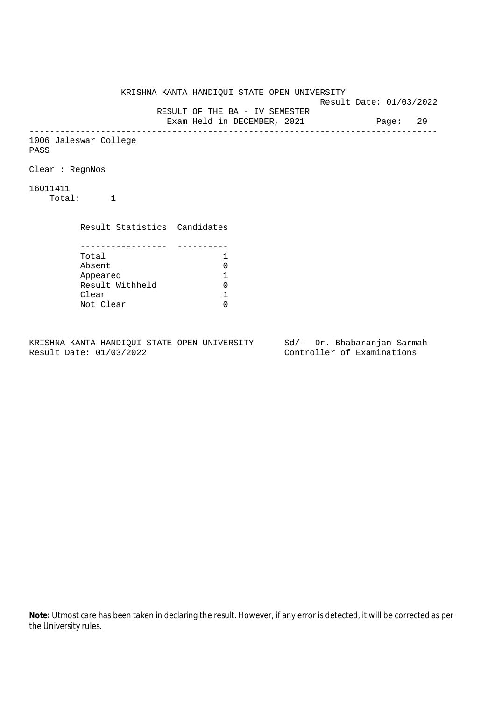KRISHNA KANTA HANDIQUI STATE OPEN UNIVERSITY Result Date: 01/03/2022 RESULT OF THE BA - IV SEMESTER Exam Held in DECEMBER, 2021 Page: 29 -------------------------------------------------------------------------------- 1006 Jaleswar College PASS Clear : RegnNos 16011411 Total: 1 Result Statistics Candidates ----------------- ---------- Total 1<br>Absent 0 Absent<br>
Appeared 1<br>
Result Withheld 0<br>
Clear 1 Appeared 1 Result Withheld Clear Not Clear 0

KRISHNA KANTA HANDIQUI STATE OPEN UNIVERSITY Sd/- Dr. Bhabaranjan Sarmah Result Date: 01/03/2022 Controller of Examinations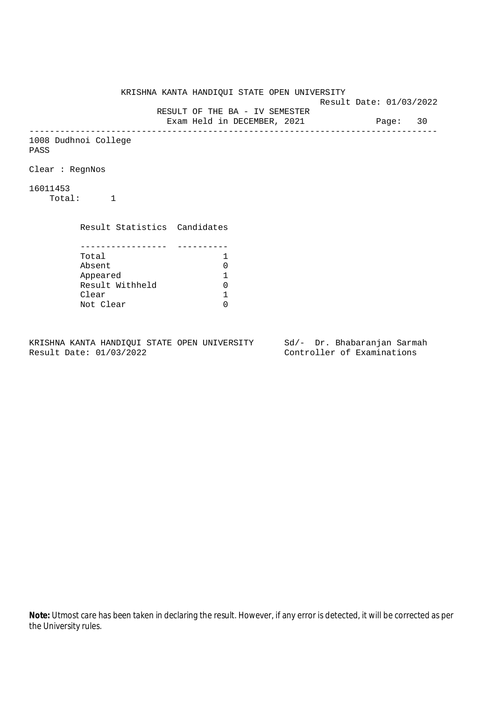KRISHNA KANTA HANDIQUI STATE OPEN UNIVERSITY Result Date: 01/03/2022 RESULT OF THE BA - IV SEMESTER Exam Held in DECEMBER, 2021 Page: 30 -------------------------------------------------------------------------------- 1008 Dudhnoi College PASS Clear : RegnNos 16011453 Total: 1 Result Statistics Candidates ----------------- ---------- Total 1<br>Absent 0 Absent<br>
Appeared 1<br>
Result Withheld 0<br>
Clear 1 Appeared 1 Result Withheld 0 Clear Not Clear 0

KRISHNA KANTA HANDIQUI STATE OPEN UNIVERSITY Sd/- Dr. Bhabaranjan Sarmah Result Date: 01/03/2022 Controller of Examinations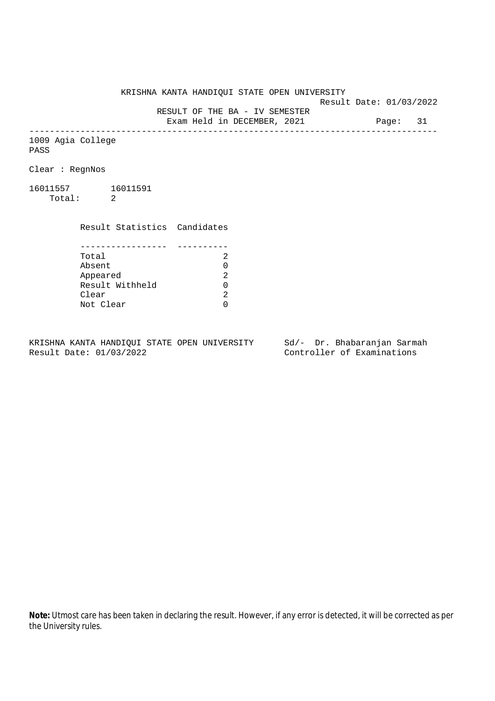Result Date: 01/03/2022

 RESULT OF THE BA - IV SEMESTER Exam Held in DECEMBER, 2021 Page: 31

--------------------------------------------------------------------------------

1009 Agia College PASS

Clear : RegnNos

16011557 16011591 Total: 2

Clear

 Result Statistics Candidates ----------------- ---------- Total 2 Absent<br>
Appeared 2<br>
Result Withheld 0<br>
Clear 2 Appeared Result Withheld 0

Not Clear 0

KRISHNA KANTA HANDIQUI STATE OPEN UNIVERSITY Sd/- Dr. Bhabaranjan Sarmah Result Date: 01/03/2022 Controller of Examinations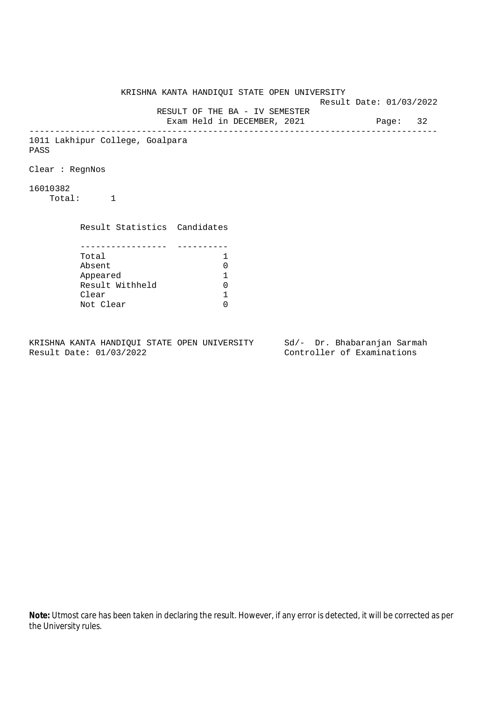KRISHNA KANTA HANDIQUI STATE OPEN UNIVERSITY Result Date: 01/03/2022 RESULT OF THE BA - IV SEMESTER Exam Held in DECEMBER, 2021 Page: 32 -------------------------------------------------------------------------------- 1011 Lakhipur College, Goalpara PASS Clear : RegnNos 16010382 Total: 1 Result Statistics Candidates ----------------- ---------- Total 1 Absent<br>
Appeared 1<br>
Result Withheld 0<br>
Clear 1 Appeared 1 Result Withheld Clear Not Clear 0

KRISHNA KANTA HANDIQUI STATE OPEN UNIVERSITY Sd/- Dr. Bhabaranjan Sarmah Result Date: 01/03/2022 Controller of Examinations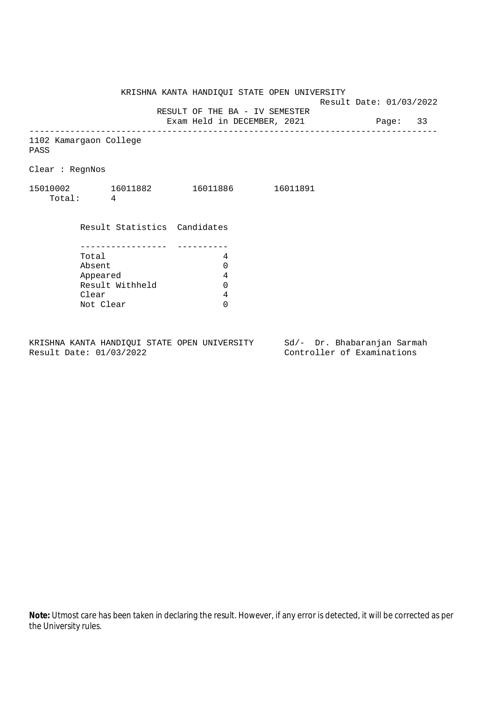Result Date: 01/03/2022

RESULT OF THE BA - IV SEMESTER

Exam Held in DECEMBER, 2021 Page: 33 --------------------------------------------------------------------------------

1102 Kamargaon College

PASS

Clear : RegnNos

| 15010002 | 16011882 | 16011886 | 16011891 |
|----------|----------|----------|----------|
| Total:   |          |          |          |

 Result Statistics Candidates ----------------- ---------- Total 4 Absent 0<br>Appeared 4<br>Result Withheld 0 Appeared Result Withheld 0 Clear 4 Not Clear 0

KRISHNA KANTA HANDIQUI STATE OPEN UNIVERSITY Sd/- Dr. Bhabaranjan Sarmah Result Date: 01/03/2022 Controller of Examinations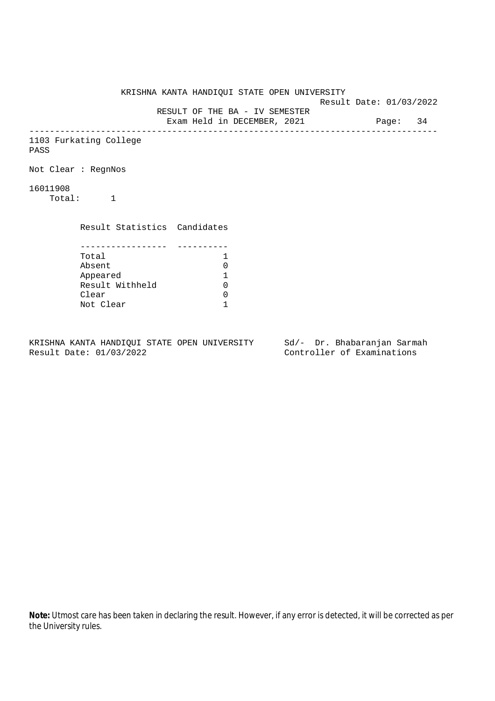KRISHNA KANTA HANDIQUI STATE OPEN UNIVERSITY Result Date: 01/03/2022 RESULT OF THE BA - IV SEMESTER Exam Held in DECEMBER, 2021 Page: 34 -------------------------------------------------------------------------------- 1103 Furkating College PASS Not Clear : RegnNos 16011908 Total: 1 Result Statistics Candidates ----------------- ---------- Total 1<br>Absent 0 Absent 0<br>
Appeared 1<br>
Result Withheld 0 Appeared 1 Result Withheld 0 Clear 0 Not Clear 1

KRISHNA KANTA HANDIQUI STATE OPEN UNIVERSITY Sd/- Dr. Bhabaranjan Sarmah Result Date: 01/03/2022 Controller of Examinations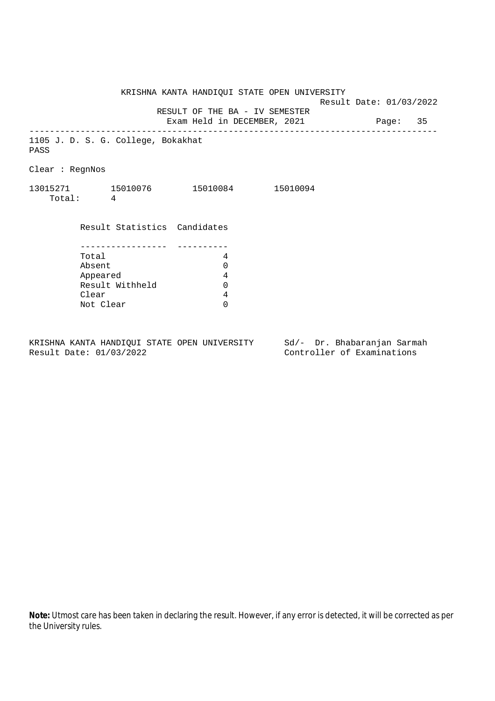KRISHNA KANTA HANDIQUI STATE OPEN UNIVERSITY Result Date: 01/03/2022 RESULT OF THE BA - IV SEMESTER Exam Held in DECEMBER, 2021 Page: 35 -------------------------------------------------------------------------------- 1105 J. D. S. G. College, Bokakhat PASS Clear : RegnNos 13015271 15010076 15010084 15010094 Total: 4 Result Statistics Candidates ----------------- ---------- Total 4 Absent 0<br>
Appeared 4<br>
Result Withheld 0 Appeared Result Withheld 0 Clear 4 Not Clear 0

KRISHNA KANTA HANDIQUI STATE OPEN UNIVERSITY Sd/- Dr. Bhabaranjan Sarmah Result Date: 01/03/2022 Controller of Examinations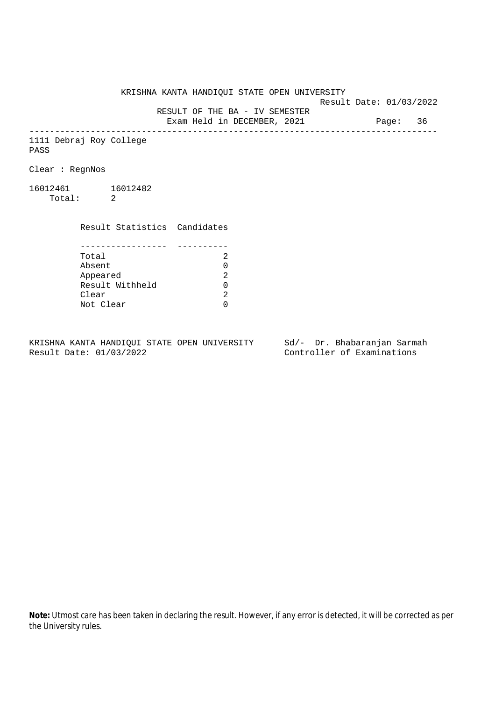Result Date: 01/03/2022

 RESULT OF THE BA - IV SEMESTER Exam Held in DECEMBER, 2021 Page: 36

--------------------------------------------------------------------------------

1111 Debraj Roy College PASS

Clear : RegnNos

16012461 16012482 Total: 2

Clear

 Result Statistics Candidates ----------------- ---------- Total 2 Absent<br>
Appeared 2<br>
Result Withheld 0<br>
Clear 2 Appeared

Not Clear 0

KRISHNA KANTA HANDIQUI STATE OPEN UNIVERSITY Sd/- Dr. Bhabaranjan Sarmah Result Date: 01/03/2022 Controller of Examinations

Result Withheld 0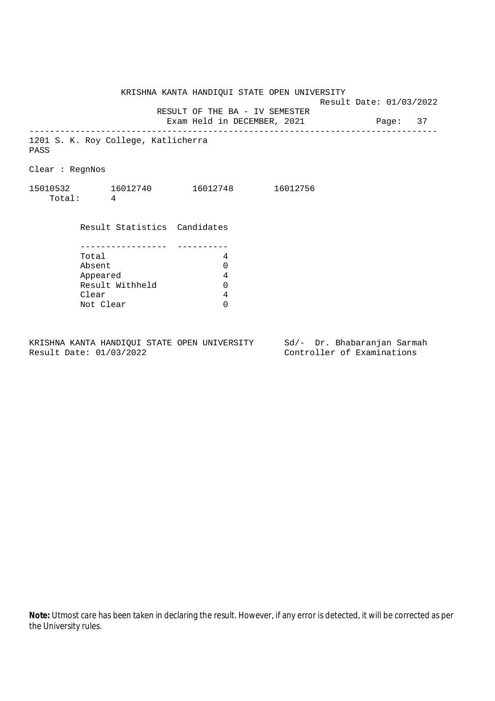Result Date: 01/03/2022 RESULT OF THE BA - IV SEMESTER Exam Held in DECEMBER, 2021 Page: 37 -------------------------------------------------------------------------------- 1201 S. K. Roy College, Katlicherra PASS Clear : RegnNos 15010532 16012740 16012748 16012756 Total: 4 Result Statistics Candidates ----------------- ---------- Total 4 Absent 0<br>
Appeared 4<br>
Result Withheld 0 Appeared

KRISHNA KANTA HANDIQUI STATE OPEN UNIVERSITY Sd/- Dr. Bhabaranjan Sarmah Result Date: 01/03/2022 Controller of Examinations

KRISHNA KANTA HANDIQUI STATE OPEN UNIVERSITY

Result Withheld 0

Clear 4 Not Clear 0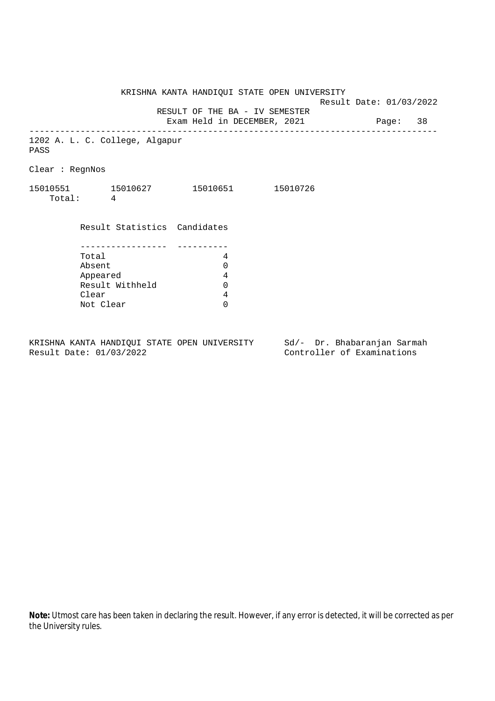KRISHNA KANTA HANDIQUI STATE OPEN UNIVERSITY Result Date: 01/03/2022 RESULT OF THE BA - IV SEMESTER Exam Held in DECEMBER, 2021 Page: 38 -------------------------------------------------------------------------------- 1202 A. L. C. College, Algapur PASS Clear : RegnNos 15010551 15010627 15010651 15010726 Total: 4 Result Statistics Candidates ----------------- ---------- Total 4 Absent 0<br>
Appeared 4<br>
Result Withheld 0 Appeared Result Withheld Clear 4 Not Clear 0

KRISHNA KANTA HANDIQUI STATE OPEN UNIVERSITY Sd/- Dr. Bhabaranjan Sarmah Result Date: 01/03/2022 Controller of Examinations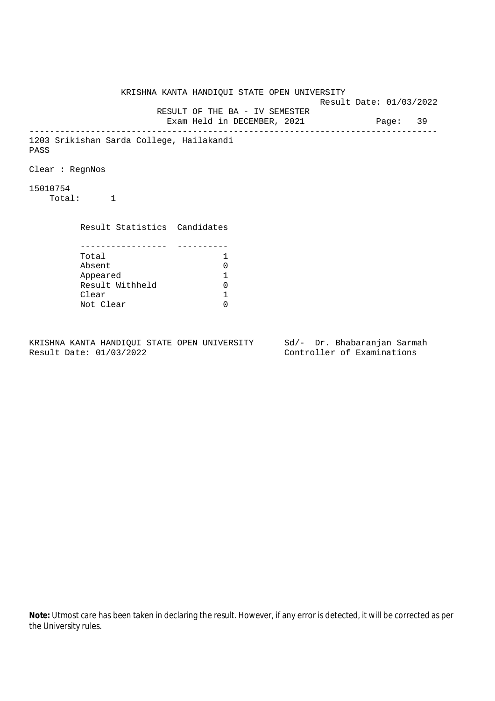KRISHNA KANTA HANDIQUI STATE OPEN UNIVERSITY Result Date: 01/03/2022 RESULT OF THE BA - IV SEMESTER Exam Held in DECEMBER, 2021 Page: 39 -------------------------------------------------------------------------------- 1203 Srikishan Sarda College, Hailakandi PASS Clear : RegnNos 15010754 Total: 1 Result Statistics Candidates ----------------- ---------- Total 1 Absent<br>
Appeared 1<br>
Result Withheld 0<br>
Clear 1 Appeared 1 Result Withheld 0 Clear Not Clear 0

KRISHNA KANTA HANDIQUI STATE OPEN UNIVERSITY Sd/- Dr. Bhabaranjan Sarmah Result Date: 01/03/2022 Controller of Examinations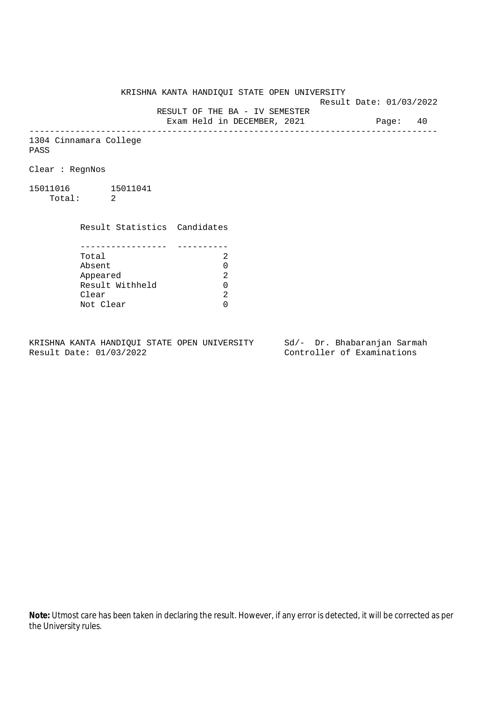KRISHNA KANTA HANDIQUI STATE OPEN UNIVERSITY

Result Date: 01/03/2022

 RESULT OF THE BA - IV SEMESTER Exam Held in DECEMBER, 2021 Page: 40

--------------------------------------------------------------------------------

1304 Cinnamara College PASS

Clear : RegnNos

15011016 15011041 Total: 2

> Result Statistics Candidates ----------------- ---------- Total 2

> Absent<br>
> Appeared 2<br>
> Result Withheld 0<br>
> Clear 2 Appeared Result Withheld 0 Clear Not Clear 0

KRISHNA KANTA HANDIQUI STATE OPEN UNIVERSITY Sd/- Dr. Bhabaranjan Sarmah Result Date: 01/03/2022 Controller of Examinations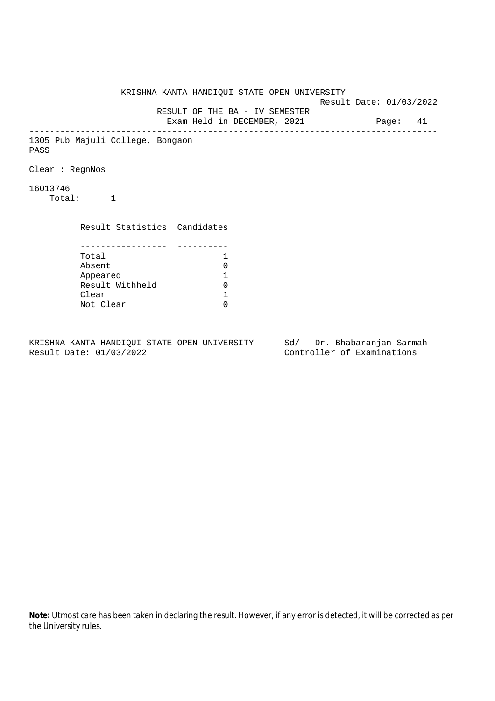KRISHNA KANTA HANDIQUI STATE OPEN UNIVERSITY Result Date: 01/03/2022 RESULT OF THE BA - IV SEMESTER Exam Held in DECEMBER, 2021 Page: 41 -------------------------------------------------------------------------------- 1305 Pub Majuli College, Bongaon PASS Clear : RegnNos 16013746 Total: 1 Result Statistics Candidates ----------------- ---------- Total 1 Absent<br>
Appeared 1<br>
Result Withheld 0<br>
Clear 1 Appeared 1 Result Withheld Clear Not Clear 0

KRISHNA KANTA HANDIQUI STATE OPEN UNIVERSITY Sd/- Dr. Bhabaranjan Sarmah Result Date: 01/03/2022 Controller of Examinations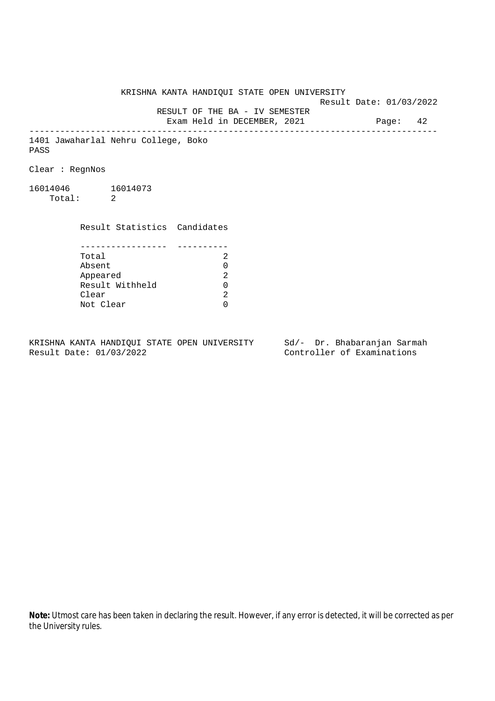KRISHNA KANTA HANDIQUI STATE OPEN UNIVERSITY Result Date: 01/03/2022 RESULT OF THE BA - IV SEMESTER Exam Held in DECEMBER, 2021 Page: 42 -------------------------------------------------------------------------------- 1401 Jawaharlal Nehru College, Boko PASS Clear : RegnNos 16014046 16014073 Total: 2 Result Statistics Candidates ----------------- ---------- Total 2 Absent<br>
Appeared 2<br>
Result Withheld 0<br>
Clear 2 Appeared Result Withheld 0 Clear

KRISHNA KANTA HANDIQUI STATE OPEN UNIVERSITY Sd/- Dr. Bhabaranjan Sarmah Result Date: 01/03/2022 Controller of Examinations

Not Clear 0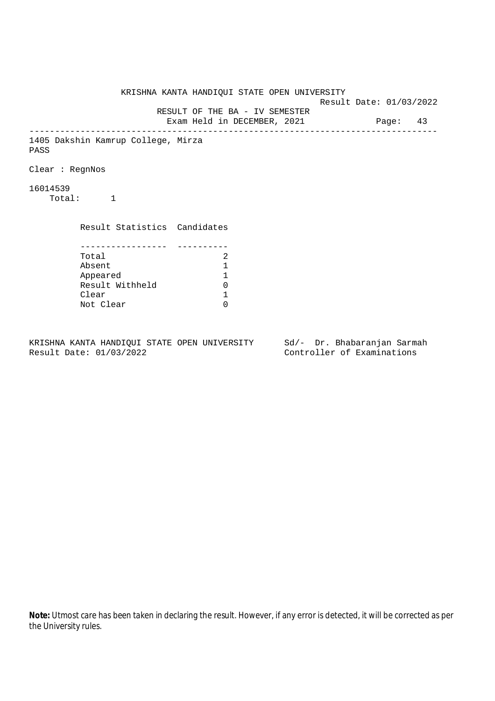KRISHNA KANTA HANDIQUI STATE OPEN UNIVERSITY Result Date: 01/03/2022 RESULT OF THE BA - IV SEMESTER Exam Held in DECEMBER, 2021 Page: 43 -------------------------------------------------------------------------------- 1405 Dakshin Kamrup College, Mirza PASS Clear : RegnNos 16014539 Total: 1 Result Statistics Candidates ----------------- ---------- Total 2<br>Absent 1 Absent<br>
Appeared 1<br>
Result Withheld 0<br>
Clear 1 Appeared 1 Result Withheld Clear Not Clear 0

KRISHNA KANTA HANDIQUI STATE OPEN UNIVERSITY Sd/- Dr. Bhabaranjan Sarmah Result Date: 01/03/2022 Controller of Examinations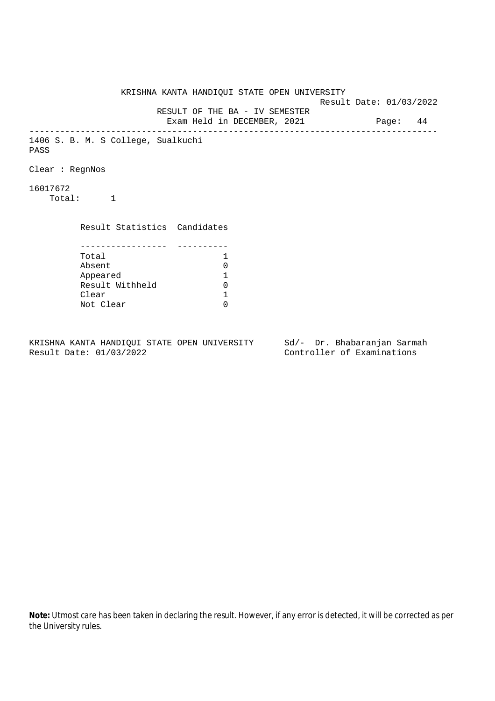KRISHNA KANTA HANDIQUI STATE OPEN UNIVERSITY Result Date: 01/03/2022 RESULT OF THE BA - IV SEMESTER Exam Held in DECEMBER, 2021 Page: 44 -------------------------------------------------------------------------------- 1406 S. B. M. S College, Sualkuchi PASS Clear : RegnNos 16017672 Total: 1 Result Statistics Candidates ----------------- ---------- Total 1 Absent<br>
Appeared 1<br>
Result Withheld 0<br>
Clear 1 Appeared 1 Result Withheld Clear Not Clear 0

KRISHNA KANTA HANDIQUI STATE OPEN UNIVERSITY Sd/- Dr. Bhabaranjan Sarmah Result Date: 01/03/2022 Controller of Examinations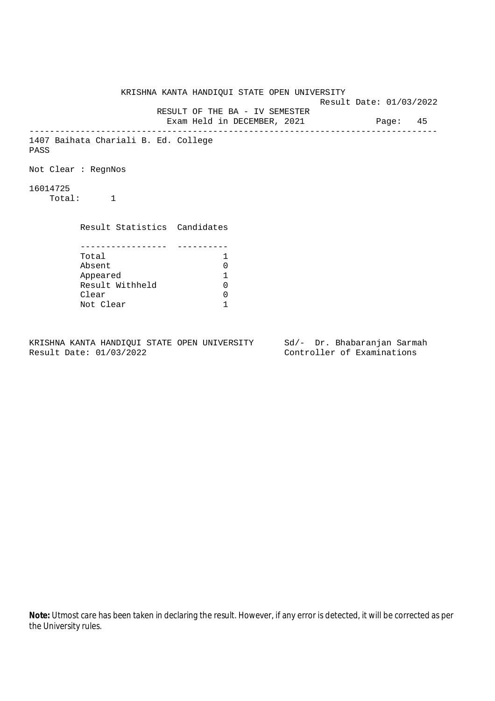KRISHNA KANTA HANDIQUI STATE OPEN UNIVERSITY Result Date: 01/03/2022 RESULT OF THE BA - IV SEMESTER Exam Held in DECEMBER, 2021 Page: 45 -------------------------------------------------------------------------------- 1407 Baihata Chariali B. Ed. College PASS Not Clear : RegnNos 16014725 Total: 1 Result Statistics Candidates ----------------- ---------- Total 1 Absent 0<br>
Appeared 1<br>
Result Withheld 0 Appeared 1 Result Withheld Clear 0 Not Clear 1

KRISHNA KANTA HANDIQUI STATE OPEN UNIVERSITY Sd/- Dr. Bhabaranjan Sarmah Result Date: 01/03/2022 Controller of Examinations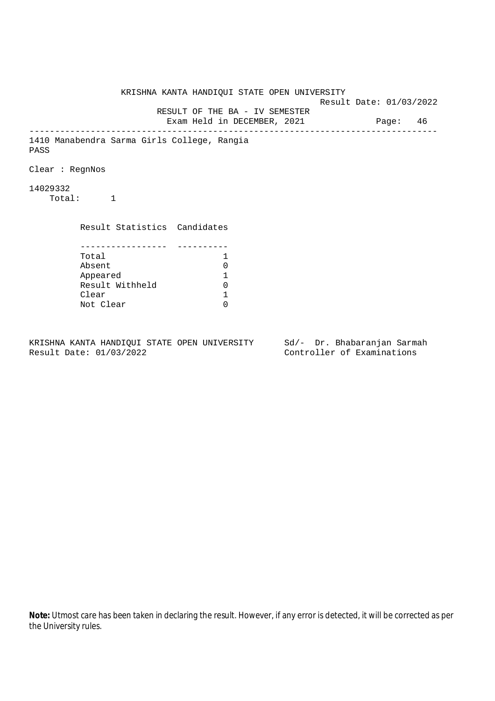KRISHNA KANTA HANDIQUI STATE OPEN UNIVERSITY Result Date: 01/03/2022 RESULT OF THE BA - IV SEMESTER Exam Held in DECEMBER, 2021 Page: 46 -------------------------------------------------------------------------------- 1410 Manabendra Sarma Girls College, Rangia PASS Clear : RegnNos 14029332 Total: 1 Result Statistics Candidates ----------------- ---------- Total 1 Absent<br>
Appeared 1<br>
Result Withheld 0<br>
Clear 1 Appeared 1 Result Withheld Clear Not Clear 0

KRISHNA KANTA HANDIQUI STATE OPEN UNIVERSITY Sd/- Dr. Bhabaranjan Sarmah Result Date: 01/03/2022 Controller of Examinations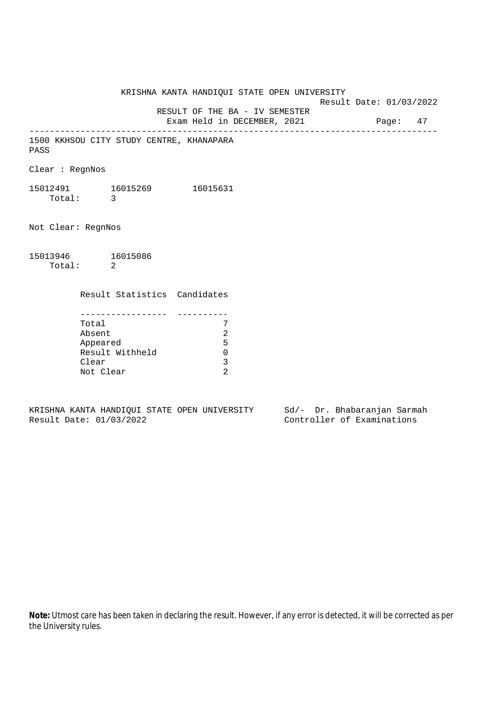KRISHNA KANTA HANDIQUI STATE OPEN UNIVERSITY Result Date: 01/03/2022 RESULT OF THE BA - IV SEMESTER

Exam Held in DECEMBER, 2021 Page: 47 --------------------------------------------------------------------------------

1500 KKHSOU CITY STUDY CENTRE, KHANAPARA PASS

Clear : RegnNos

15012491 16015269 16015631 Total: 3

Not Clear: RegnNos

15013946 16015086 Total: 2

Result Statistics Candidates

| Total           |   |
|-----------------|---|
| Absent          |   |
| Appeared        | ᄃ |
| Result Withheld |   |
| Clear           |   |
| Not Clear       |   |

KRISHNA KANTA HANDIQUI STATE OPEN UNIVERSITY Sd/- Dr. Bhabaranjan Sarmah Result Date: 01/03/2022 Controller of Examinations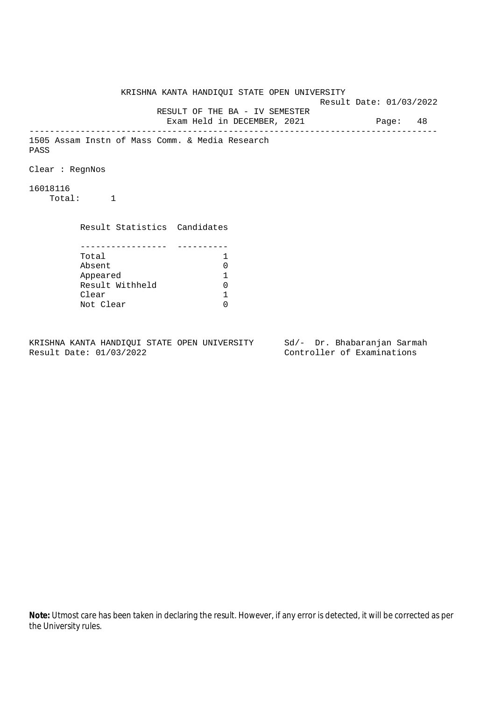KRISHNA KANTA HANDIQUI STATE OPEN UNIVERSITY Result Date: 01/03/2022 RESULT OF THE BA - IV SEMESTER Exam Held in DECEMBER, 2021 Page: 48 -------------------------------------------------------------------------------- 1505 Assam Instn of Mass Comm. & Media Research PASS Clear : RegnNos 16018116 Total: 1 Result Statistics Candidates ----------------- ---------- Total 1<br>Absent 0 Absent<br>
Appeared 1<br>
Result Withheld 0<br>
Clear 1 Appeared 1 Result Withheld Clear Not Clear 0

KRISHNA KANTA HANDIQUI STATE OPEN UNIVERSITY Sd/- Dr. Bhabaranjan Sarmah Result Date: 01/03/2022 Controller of Examinations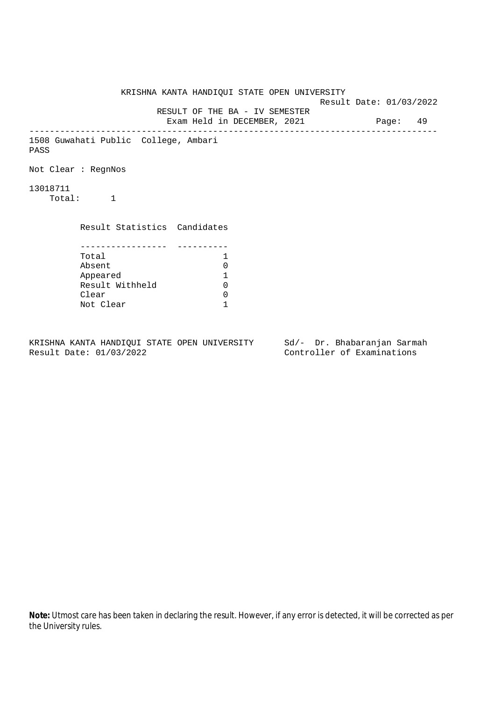KRISHNA KANTA HANDIQUI STATE OPEN UNIVERSITY Result Date: 01/03/2022 RESULT OF THE BA - IV SEMESTER Exam Held in DECEMBER, 2021 Page: 49 -------------------------------------------------------------------------------- 1508 Guwahati Public College, Ambari PASS Not Clear : RegnNos 13018711 Total: 1 Result Statistics Candidates ----------------- ---------- Total 1 Absent 0<br>
Appeared 1<br>
Result Withheld 0 Appeared 1 Result Withheld Clear 0 Not Clear 1

KRISHNA KANTA HANDIQUI STATE OPEN UNIVERSITY Sd/- Dr. Bhabaranjan Sarmah Result Date: 01/03/2022 Controller of Examinations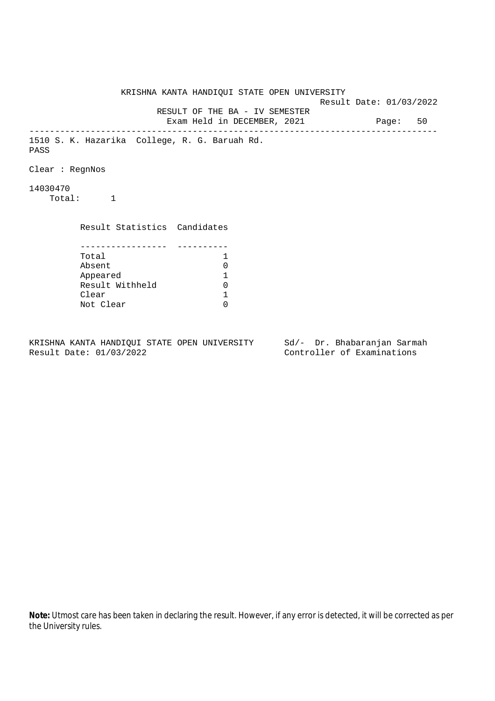KRISHNA KANTA HANDIQUI STATE OPEN UNIVERSITY Result Date: 01/03/2022 RESULT OF THE BA - IV SEMESTER Exam Held in DECEMBER, 2021 Page: 50 -------------------------------------------------------------------------------- 1510 S. K. Hazarika College, R. G. Baruah Rd. PASS Clear : RegnNos 14030470 Total: 1 Result Statistics Candidates ----------------- ---------- Total 1 Absent<br>
Appeared 1<br>
Result Withheld 0<br>
Clear 1 Appeared 1 Result Withheld Clear Not Clear 0

KRISHNA KANTA HANDIQUI STATE OPEN UNIVERSITY Sd/- Dr. Bhabaranjan Sarmah Result Date: 01/03/2022 Controller of Examinations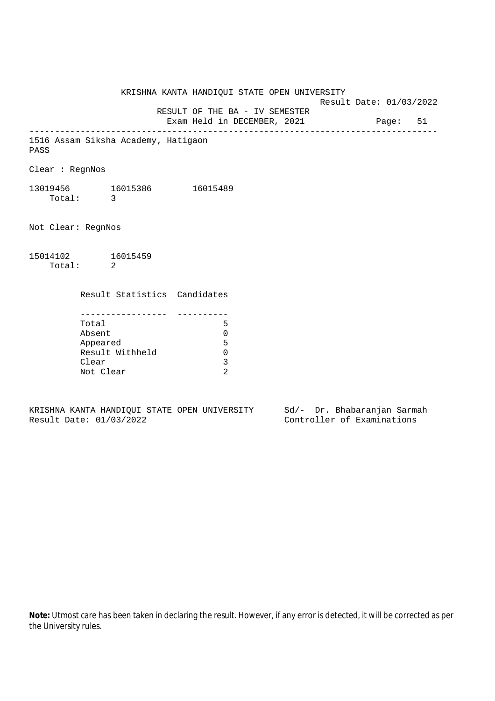KRISHNA KANTA HANDIQUI STATE OPEN UNIVERSITY Result Date: 01/03/2022 RESULT OF THE BA - IV SEMESTER Exam Held in DECEMBER, 2021 Page: 51 -------------------------------------------------------------------------------- 1516 Assam Siksha Academy, Hatigaon PASS Clear : RegnNos 13019456 16015386 16015489 Total: 3 Not Clear: RegnNos 15014102 16015459 Total: 2 Result Statistics Candidates ----------------- ---------- Total 5 Absent 0 Appeared 5 Result Withheld 0 Clear 3 Not Clear 2

KRISHNA KANTA HANDIQUI STATE OPEN UNIVERSITY Sd/- Dr. Bhabaranjan Sarmah Result Date: 01/03/2022 Controller of Examinations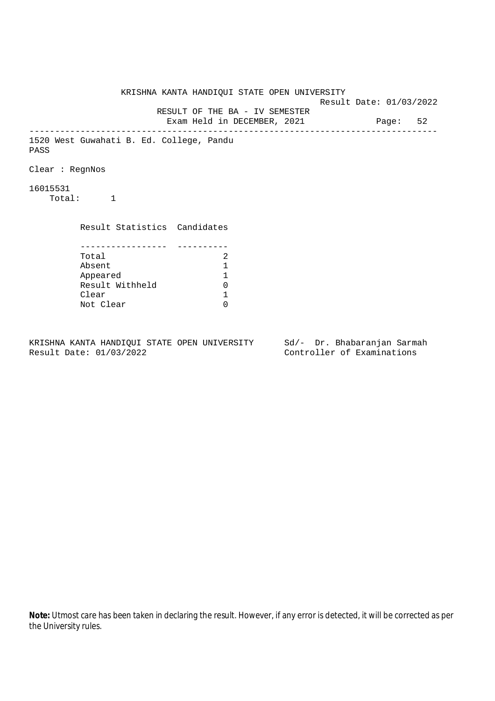KRISHNA KANTA HANDIQUI STATE OPEN UNIVERSITY Result Date: 01/03/2022 RESULT OF THE BA - IV SEMESTER Exam Held in DECEMBER, 2021 Page: 52 -------------------------------------------------------------------------------- 1520 West Guwahati B. Ed. College, Pandu PASS Clear : RegnNos 16015531 Total: 1 Result Statistics Candidates ----------------- ---------- Total 2<br>Absent 1 Absent<br>
Appeared 1<br>
Result Withheld 0<br>
Clear 1 Appeared 1 Result Withheld 0 Clear Not Clear 0

KRISHNA KANTA HANDIQUI STATE OPEN UNIVERSITY Sd/- Dr. Bhabaranjan Sarmah Result Date: 01/03/2022 Controller of Examinations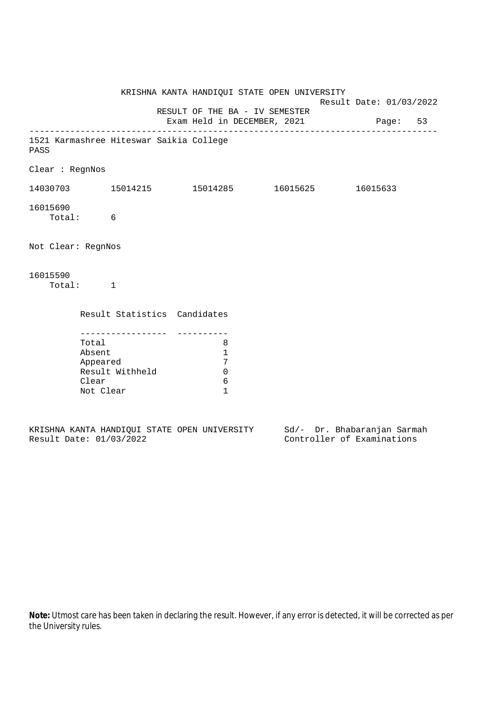|                 |                                                                                                 | 8<br>$\mathbf{1}$<br>7<br>$\mathbf 0$<br>6<br>$\mathbf{1}$ |                                                                         |                                |                                              |                                                                                                                   |
|-----------------|-------------------------------------------------------------------------------------------------|------------------------------------------------------------|-------------------------------------------------------------------------|--------------------------------|----------------------------------------------|-------------------------------------------------------------------------------------------------------------------|
| Clear : RegnNos | Total: 6<br>Not Clear: RegnNos<br>Total: 1<br>Total<br>Absent<br>Appeared<br>Clear<br>Not Clear | - - - - - - - - - - - - - - - -<br>Result Withheld         | 1521 Karmashree Hiteswar Saikia College<br>Result Statistics Candidates | RESULT OF THE BA - IV SEMESTER | KRISHNA KANTA HANDIQUI STATE OPEN UNIVERSITY | Result Date: 01/03/2022<br>Exam Held in DECEMBER, 2021 Page: 53<br>$14030703$ 15014215 15014285 16015625 16015633 |

|  |                         |  | KRISHNA KANTA HANDIOUI STATE OPEN UNIVERSITY |  |  | Sd/- Dr. Bhabaranjan Sarmah |  |
|--|-------------------------|--|----------------------------------------------|--|--|-----------------------------|--|
|  | Result Date: 01/03/2022 |  |                                              |  |  | Controller of Examinations  |  |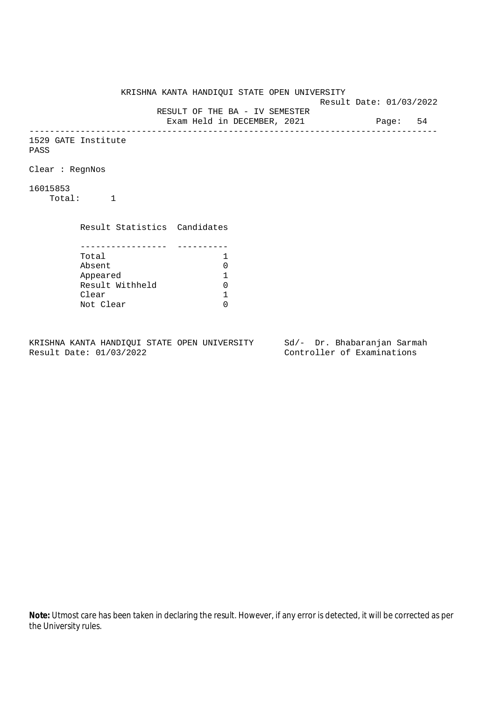KRISHNA KANTA HANDIQUI STATE OPEN UNIVERSITY Result Date: 01/03/2022 RESULT OF THE BA - IV SEMESTER Exam Held in DECEMBER, 2021 Page: 54 -------------------------------------------------------------------------------- 1529 GATE Institute PASS Clear : RegnNos 16015853 Total: 1 Result Statistics Candidates ----------------- ---------- Total 1<br>Absent 0 Absent<br>
Appeared 1<br>
Result Withheld 0<br>
Clear 1 Appeared 1 Result Withheld Clear Not Clear 0

KRISHNA KANTA HANDIQUI STATE OPEN UNIVERSITY Sd/- Dr. Bhabaranjan Sarmah Result Date: 01/03/2022 Controller of Examinations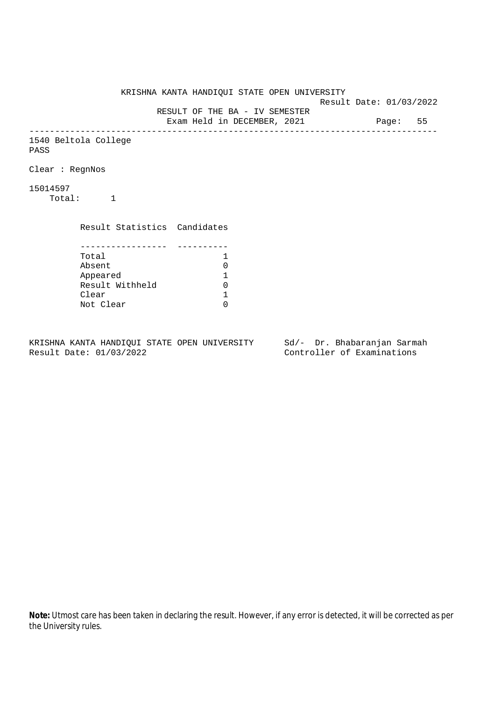KRISHNA KANTA HANDIQUI STATE OPEN UNIVERSITY Result Date: 01/03/2022 RESULT OF THE BA - IV SEMESTER Exam Held in DECEMBER, 2021 Page: 55 -------------------------------------------------------------------------------- 1540 Beltola College PASS Clear : RegnNos 15014597 Total: 1 Result Statistics Candidates ----------------- ---------- Total 1<br>Absent 0 Absent<br>
Appeared 1<br>
Result Withheld 0<br>
Clear 1 Appeared 1 Result Withheld 0 Clear Not Clear 0

KRISHNA KANTA HANDIQUI STATE OPEN UNIVERSITY Sd/- Dr. Bhabaranjan Sarmah Result Date: 01/03/2022 Controller of Examinations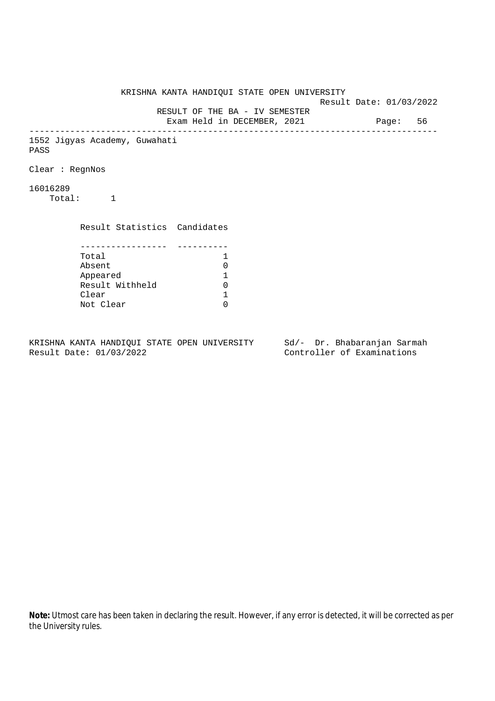KRISHNA KANTA HANDIQUI STATE OPEN UNIVERSITY Result Date: 01/03/2022 RESULT OF THE BA - IV SEMESTER Exam Held in DECEMBER, 2021 Page: 56 -------------------------------------------------------------------------------- 1552 Jigyas Academy, Guwahati PASS Clear : RegnNos 16016289 Total: 1 Result Statistics Candidates ----------------- ---------- Total 1 Absent<br>
Appeared 1<br>
Result Withheld 0<br>
Clear 1 Appeared 1 Result Withheld Clear Not Clear 0

KRISHNA KANTA HANDIQUI STATE OPEN UNIVERSITY Sd/- Dr. Bhabaranjan Sarmah Result Date: 01/03/2022 Controller of Examinations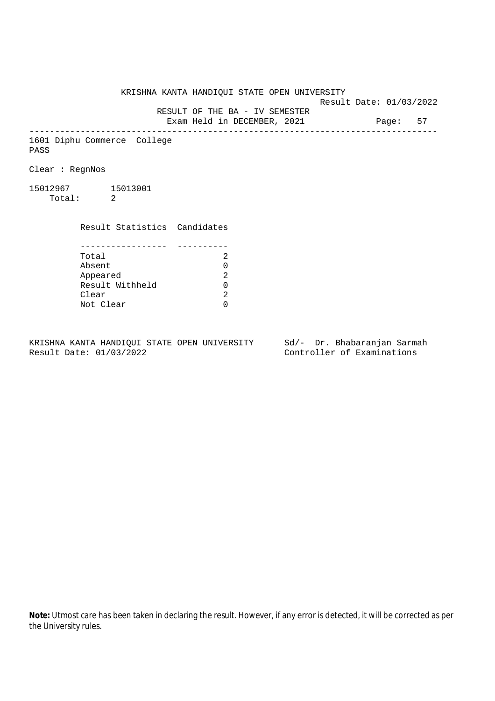KRISHNA KANTA HANDIQUI STATE OPEN UNIVERSITY

Result Date: 01/03/2022

 RESULT OF THE BA - IV SEMESTER Exam Held in DECEMBER, 2021 Page: 57

--------------------------------------------------------------------------------

1601 Diphu Commerce College PASS

Clear : RegnNos

15012967 15013001 Total: 2

> Result Statistics Candidates ----------------- ---------- Total 2

> Absent<br>
> Appeared 2<br>
> Result Withheld 0<br>
> Clear 2 Appeared Result Withheld 0 Clear Not Clear 0

KRISHNA KANTA HANDIQUI STATE OPEN UNIVERSITY Sd/- Dr. Bhabaranjan Sarmah Result Date: 01/03/2022 Controller of Examinations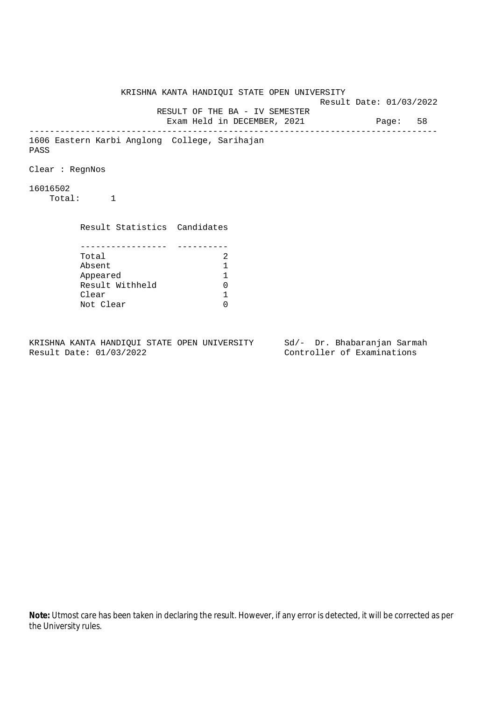KRISHNA KANTA HANDIQUI STATE OPEN UNIVERSITY Result Date: 01/03/2022 RESULT OF THE BA - IV SEMESTER Exam Held in DECEMBER, 2021 Page: 58 -------------------------------------------------------------------------------- 1606 Eastern Karbi Anglong College, Sarihajan PASS Clear : RegnNos 16016502 Total: 1 Result Statistics Candidates ----------------- ---------- Total 2<br>Absent 1 Absent<br>
Appeared 1<br>
Result Withheld 0<br>
Clear 1 Appeared 1 Result Withheld 0 Clear Not Clear 0

KRISHNA KANTA HANDIQUI STATE OPEN UNIVERSITY Sd/- Dr. Bhabaranjan Sarmah Result Date: 01/03/2022 Controller of Examinations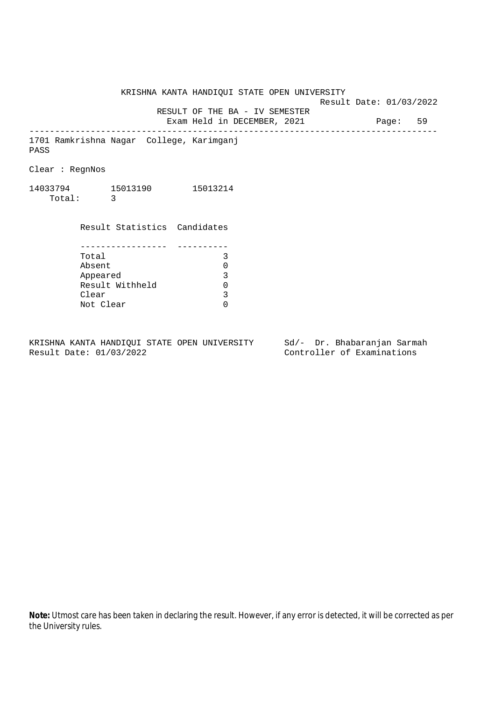KRISHNA KANTA HANDIQUI STATE OPEN UNIVERSITY Result Date: 01/03/2022 RESULT OF THE BA - IV SEMESTER Exam Held in DECEMBER, 2021 Page: 59 -------------------------------------------------------------------------------- 1701 Ramkrishna Nagar College, Karimganj PASS Clear : RegnNos 14033794 15013190 15013214 Total: 3 Result Statistics Candidates ----------------- ---------- Total 3 Absent 0<br>
Appeared 3<br>
Result Withheld 0 Appeared Result Withheld 0<br>Clear 3 Clear Not Clear 0

KRISHNA KANTA HANDIQUI STATE OPEN UNIVERSITY Sd/- Dr. Bhabaranjan Sarmah Result Date: 01/03/2022 Controller of Examinations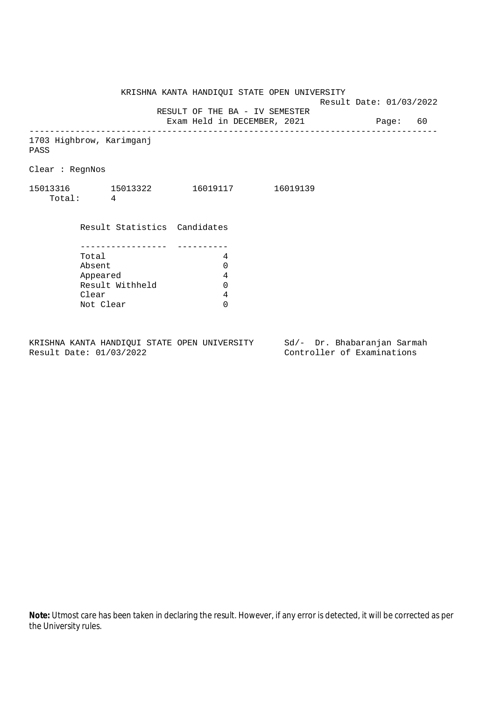KRISHNA KANTA HANDIQUI STATE OPEN UNIVERSITY

Result Date: 01/03/2022

 RESULT OF THE BA - IV SEMESTER Exam Held in DECEMBER, 2021 Page: 60

--------------------------------------------------------------------------------

1703 Highbrow, Karimganj

PASS

Clear : RegnNos

| 15013316 | 15013322 | 16019117 | 16019139 |
|----------|----------|----------|----------|
| Total:   |          |          |          |

 Result Statistics Candidates ----------------- ---------- Total 4 Absent 0<br>Appeared 4<br>Result Withheld 0 Appeared 4 Result Withheld 0 Clear 4 Not Clear 0

KRISHNA KANTA HANDIQUI STATE OPEN UNIVERSITY Sd/- Dr. Bhabaranjan Sarmah Result Date: 01/03/2022 Controller of Examinations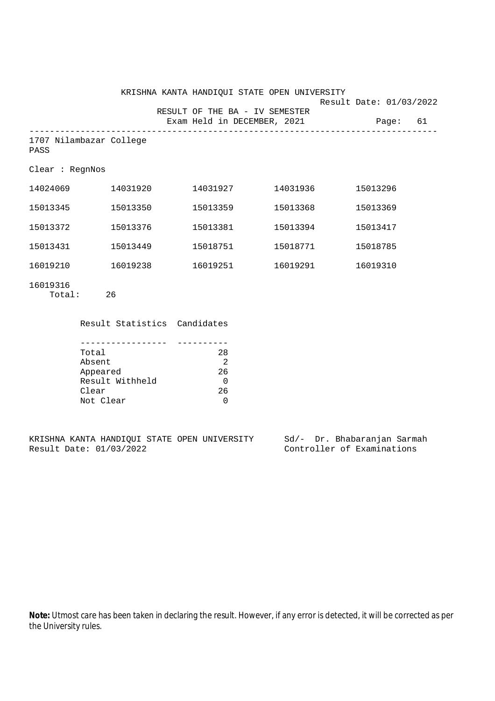|                                 |          | KRISHNA KANTA HANDIQUI STATE OPEN UNIVERSITY                  |          | Result Date: 01/03/2022 |    |
|---------------------------------|----------|---------------------------------------------------------------|----------|-------------------------|----|
|                                 |          | RESULT OF THE BA - IV SEMESTER<br>Exam Held in DECEMBER, 2021 |          | Paqe:                   | 61 |
| 1707 Nilambazar College<br>PASS |          |                                                               |          |                         |    |
| Clear : RegnNos                 |          |                                                               |          |                         |    |
| 14024069                        | 14031920 | 14031927                                                      | 14031936 | 15013296                |    |
| 15013345                        | 15013350 | 15013359                                                      | 15013368 | 15013369                |    |
| 15013372                        | 15013376 | 15013381                                                      | 15013394 | 15013417                |    |
| 15013431                        | 15013449 | 15018751                                                      | 15018771 | 15018785                |    |
| 16019210                        | 16019238 | 16019251                                                      | 16019291 | 16019310                |    |
| 16019316                        |          |                                                               |          |                         |    |

Total: 26

Result Statistics Candidates

| Total           | 28 |
|-----------------|----|
| Absent          |    |
| Appeared        | 26 |
| Result Withheld |    |
| Clear           | 26 |
| Not Clear       |    |

KRISHNA KANTA HANDIQUI STATE OPEN UNIVERSITY Sd/- Dr. Bhabaranjan Sarmah<br>Result Date: 01/03/2022 Controller of Examinations Controller of Examinations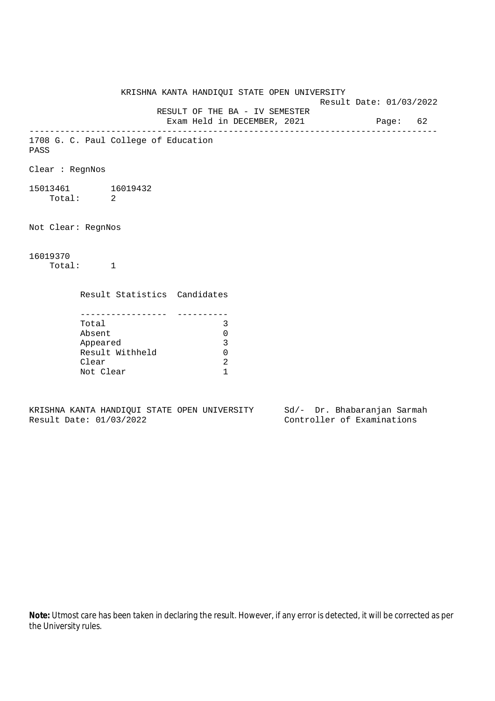KRISHNA KANTA HANDIQUI STATE OPEN UNIVERSITY Result Date: 01/03/2022 RESULT OF THE BA - IV SEMESTER Exam Held in DECEMBER, 2021 Page: 62 -------------------------------------------------------------------------------- 1708 G. C. Paul College of Education PASS Clear : RegnNos 15013461 16019432 Total: 2 Not Clear: RegnNos 16019370 Total: 1 Result Statistics Candidates ----------------- ---------- Total 3 Absent 0 Appeared 3 Result Withheld 0 Clear 2 Not Clear 1

KRISHNA KANTA HANDIQUI STATE OPEN UNIVERSITY Sd/- Dr. Bhabaranjan Sarmah Result Date: 01/03/2022 Controller of Examinations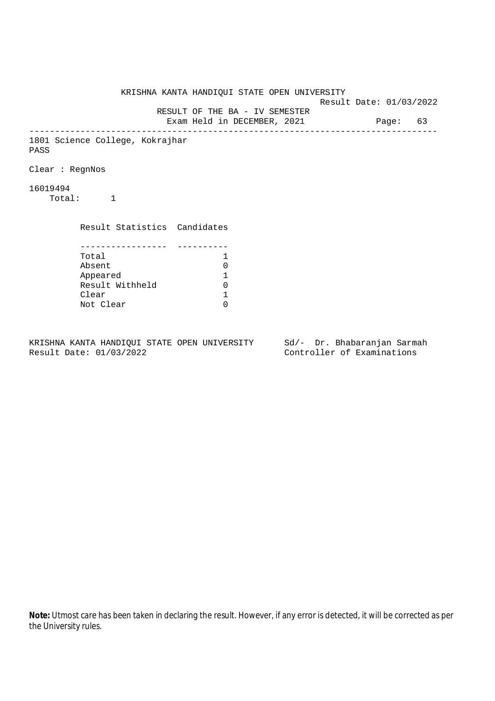KRISHNA KANTA HANDIQUI STATE OPEN UNIVERSITY Result Date: 01/03/2022 RESULT OF THE BA - IV SEMESTER Exam Held in DECEMBER, 2021 Page: 63 -------------------------------------------------------------------------------- 1801 Science College, Kokrajhar PASS Clear : RegnNos 16019494 Total: 1 Result Statistics Candidates ----------------- ---------- Total 1 Absent<br>
Appeared 1<br>
Result Withheld 0<br>
Clear 1 Appeared 1 Result Withheld Clear Not Clear 0

KRISHNA KANTA HANDIQUI STATE OPEN UNIVERSITY Sd/- Dr. Bhabaranjan Sarmah Result Date: 01/03/2022 Controller of Examinations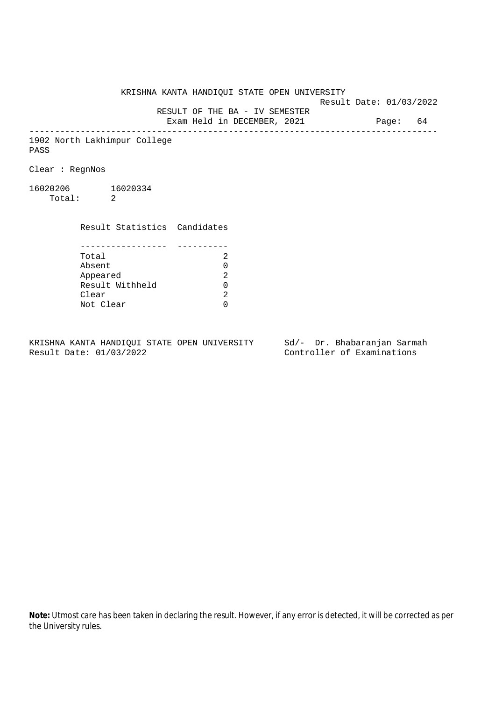KRISHNA KANTA HANDIQUI STATE OPEN UNIVERSITY

Result Date: 01/03/2022

 RESULT OF THE BA - IV SEMESTER Exam Held in DECEMBER, 2021 Page: 64

--------------------------------------------------------------------------------

1902 North Lakhimpur College PASS

Clear : RegnNos

16020206 16020334 Total: 2

> Result Statistics Candidates ----------------- ----------

| Total           | 2.            |
|-----------------|---------------|
| Absent          | O.            |
| Appeared        | 2             |
| Result Withheld | O.            |
| Clear           | $\mathcal{D}$ |
| Not Clear       | ∩             |

KRISHNA KANTA HANDIQUI STATE OPEN UNIVERSITY Sd/- Dr. Bhabaranjan Sarmah Result Date: 01/03/2022 Controller of Examinations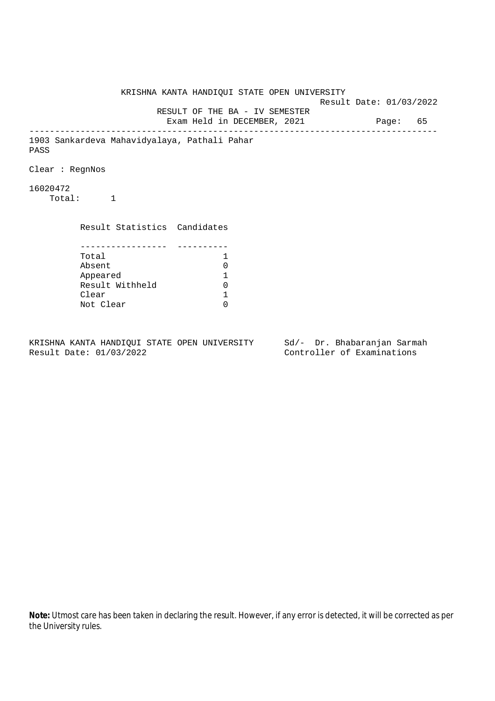KRISHNA KANTA HANDIQUI STATE OPEN UNIVERSITY Result Date: 01/03/2022 RESULT OF THE BA - IV SEMESTER Exam Held in DECEMBER, 2021 Page: 65 -------------------------------------------------------------------------------- 1903 Sankardeva Mahavidyalaya, Pathali Pahar PASS Clear : RegnNos 16020472 Total: 1 Result Statistics Candidates ----------------- ---------- Total 1 Absent<br>
Appeared 1<br>
Result Withheld 0<br>
Clear 1 Appeared 1 Result Withheld Clear Not Clear 0

KRISHNA KANTA HANDIQUI STATE OPEN UNIVERSITY Sd/- Dr. Bhabaranjan Sarmah Result Date: 01/03/2022 Controller of Examinations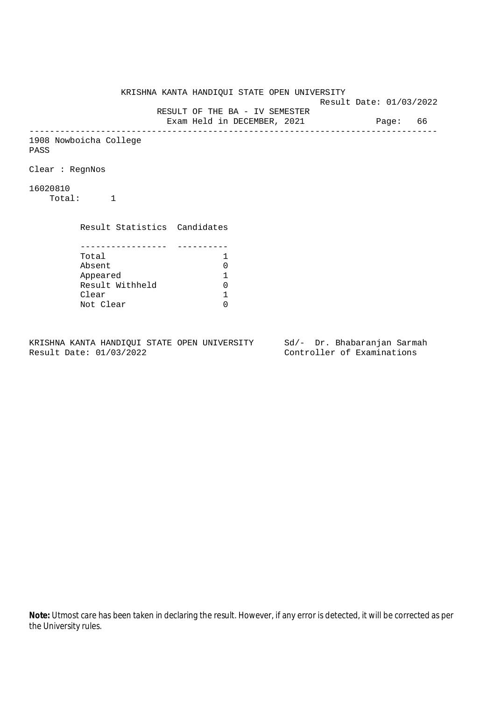KRISHNA KANTA HANDIQUI STATE OPEN UNIVERSITY Result Date: 01/03/2022 RESULT OF THE BA - IV SEMESTER Exam Held in DECEMBER, 2021 Page: 66 -------------------------------------------------------------------------------- 1908 Nowboicha College PASS Clear : RegnNos 16020810 Total: 1 Result Statistics Candidates ----------------- ---------- Total 1 Absent<br>
Appeared 1<br>
Result Withheld 0<br>
Clear 1 Appeared 1 Result Withheld Clear Not Clear 0

KRISHNA KANTA HANDIQUI STATE OPEN UNIVERSITY Sd/- Dr. Bhabaranjan Sarmah Result Date: 01/03/2022 Controller of Examinations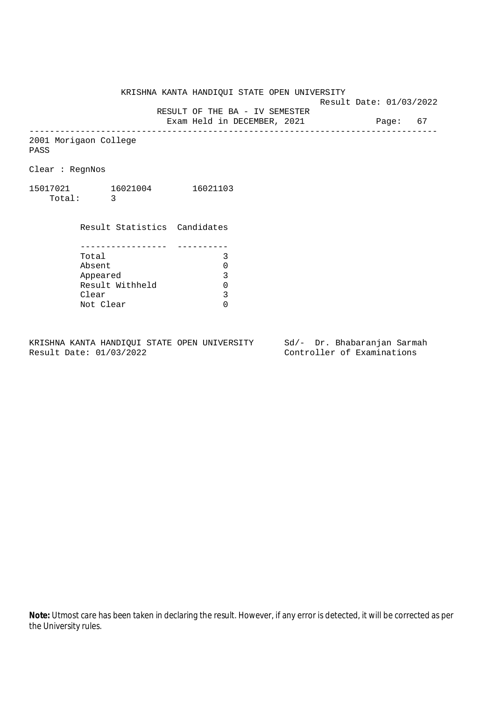KRISHNA KANTA HANDIQUI STATE OPEN UNIVERSITY

Result Date: 01/03/2022

RESULT OF THE BA - IV SEMESTER

Exam Held in DECEMBER, 2021 Page: 67 --------------------------------------------------------------------------------

2001 Morigaon College PASS

Clear : RegnNos

15017021 16021004 16021103 Total: 3

> Result Statistics Candidates ----------------- ---------- Total 3 Absent<br>
> Appeared 0<br>
> Result Withheld 0<br>
> Clear 3 Appeared Result Withheld Clear Not Clear 0

KRISHNA KANTA HANDIQUI STATE OPEN UNIVERSITY Sd/- Dr. Bhabaranjan Sarmah Result Date: 01/03/2022 Controller of Examinations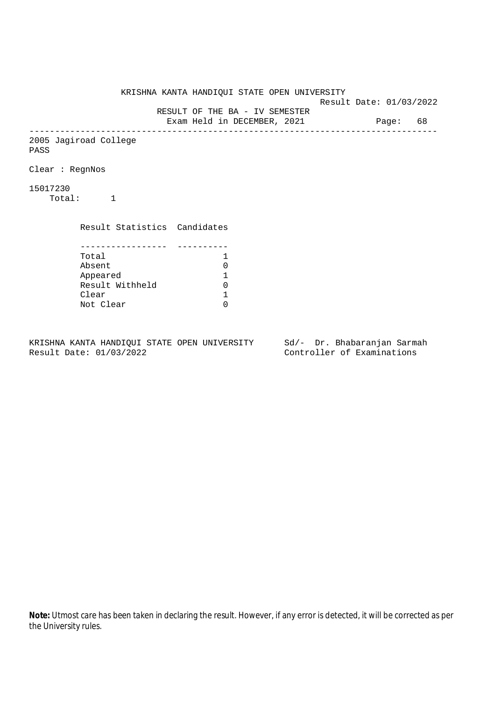KRISHNA KANTA HANDIQUI STATE OPEN UNIVERSITY Result Date: 01/03/2022 RESULT OF THE BA - IV SEMESTER Exam Held in DECEMBER, 2021 Page: 68 -------------------------------------------------------------------------------- 2005 Jagiroad College PASS Clear : RegnNos 15017230 Total: 1 Result Statistics Candidates ----------------- ---------- Total 1<br>Absent 0 Absent<br>
Appeared 1<br>
Result Withheld 0<br>
Clear 1 Appeared 1 Result Withheld Clear Not Clear 0

KRISHNA KANTA HANDIQUI STATE OPEN UNIVERSITY Sd/- Dr. Bhabaranjan Sarmah Result Date: 01/03/2022 Controller of Examinations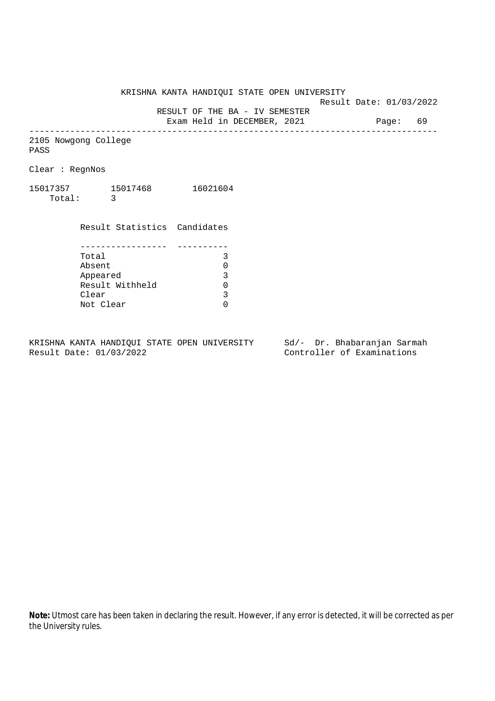KRISHNA KANTA HANDIQUI STATE OPEN UNIVERSITY

Result Date: 01/03/2022

RESULT OF THE BA - IV SEMESTER

Exam Held in DECEMBER, 2021 Page: 69 --------------------------------------------------------------------------------

2105 Nowgong College PASS

Clear : RegnNos

15017357 15017468 16021604 Total: 3

> Result Statistics Candidates ----------------- ---------- Total 3 Absent<br>
> Appeared 0<br>
> Result Withheld 0<br>
> Clear 3 Appeared Result Withheld Clear Not Clear 0

KRISHNA KANTA HANDIQUI STATE OPEN UNIVERSITY Sd/- Dr. Bhabaranjan Sarmah Result Date: 01/03/2022 Controller of Examinations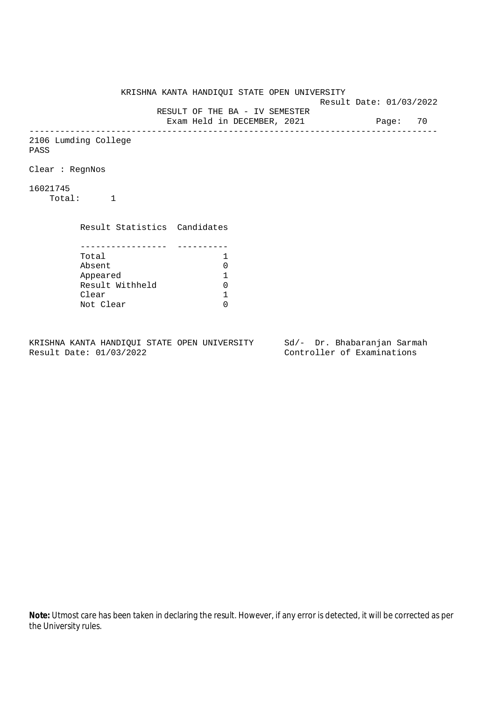KRISHNA KANTA HANDIQUI STATE OPEN UNIVERSITY Result Date: 01/03/2022 RESULT OF THE BA - IV SEMESTER Exam Held in DECEMBER, 2021 Page: 70 -------------------------------------------------------------------------------- 2106 Lumding College PASS Clear : RegnNos 16021745 Total: 1 Result Statistics Candidates ----------------- ---------- Total 1<br>Absent 0 Absent<br>
Appeared 1<br>
Result Withheld 0<br>
Clear 1 Appeared 1 Result Withheld 0 Clear Not Clear 0

KRISHNA KANTA HANDIQUI STATE OPEN UNIVERSITY Sd/- Dr. Bhabaranjan Sarmah Result Date: 01/03/2022 Controller of Examinations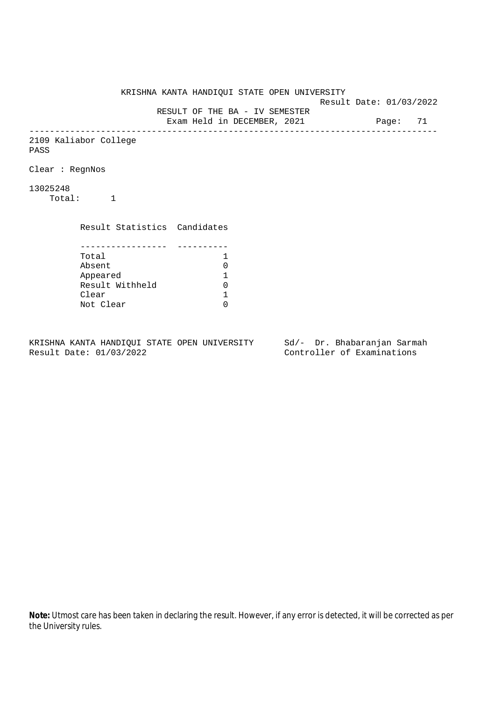KRISHNA KANTA HANDIQUI STATE OPEN UNIVERSITY Result Date: 01/03/2022 RESULT OF THE BA - IV SEMESTER Exam Held in DECEMBER, 2021 Page: 71 -------------------------------------------------------------------------------- 2109 Kaliabor College PASS Clear : RegnNos 13025248 Total: 1 Result Statistics Candidates ----------------- ---------- Total 1<br>Absent 0 Absent<br>
Appeared 1<br>
Result Withheld 0<br>
Clear 1 Appeared 1 Result Withheld Clear Not Clear 0

KRISHNA KANTA HANDIQUI STATE OPEN UNIVERSITY Sd/- Dr. Bhabaranjan Sarmah Result Date: 01/03/2022 Controller of Examinations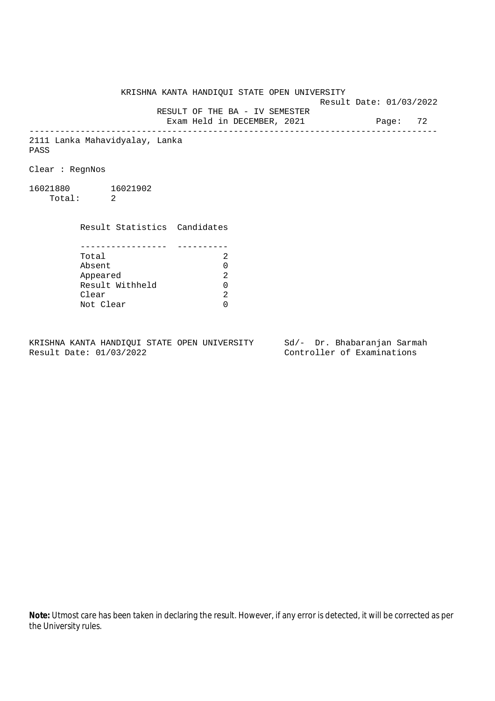KRISHNA KANTA HANDIQUI STATE OPEN UNIVERSITY Result Date: 01/03/2022

RESULT OF THE BA - IV SEMESTER

Exam Held in DECEMBER, 2021 Page: 72

--------------------------------------------------------------------------------

2111 Lanka Mahavidyalay, Lanka PASS

Clear : RegnNos

16021880 16021902 Total: 2

> Result Statistics Candidates ----------------- ----------<br>C

| Total           | 2.            |
|-----------------|---------------|
| Absent          | O.            |
| Appeared        | 2             |
| Result Withheld | O.            |
| Clear           | $\mathcal{D}$ |
| Not Clear       | ∩             |

KRISHNA KANTA HANDIQUI STATE OPEN UNIVERSITY Sd/- Dr. Bhabaranjan Sarmah<br>Result Date: 01/03/2022

Controller of Examinations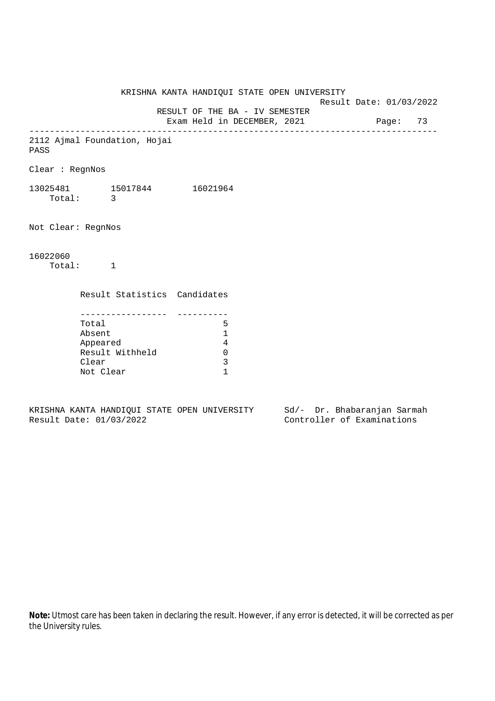KRISHNA KANTA HANDIQUI STATE OPEN UNIVERSITY Result Date: 01/03/2022 RESULT OF THE BA - IV SEMESTER Exam Held in DECEMBER, 2021 Page: 73 -------------------------------------------------------------------------------- 2112 Ajmal Foundation, Hojai PASS Clear : RegnNos 13025481 15017844 16021964 Total: 3 Not Clear: RegnNos 16022060 Total: 1 Result Statistics Candidates ----------------- ---------- Total 5 Absent 1 Appeared 4 Result Withheld 0 Clear 3 Not Clear 1

KRISHNA KANTA HANDIQUI STATE OPEN UNIVERSITY Sd/- Dr. Bhabaranjan Sarmah Result Date: 01/03/2022 Controller of Examinations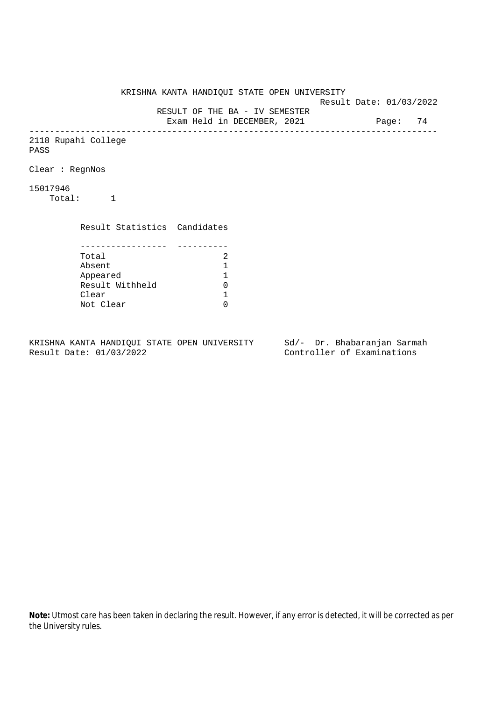KRISHNA KANTA HANDIQUI STATE OPEN UNIVERSITY Result Date: 01/03/2022 RESULT OF THE BA - IV SEMESTER Exam Held in DECEMBER, 2021 Page: 74 -------------------------------------------------------------------------------- 2118 Rupahi College PASS Clear : RegnNos 15017946 Total: 1 Result Statistics Candidates ----------------- ---------- Total 2<br>Absent 1 Absent<br>
Appeared 1<br>
Result Withheld 0<br>
Clear 1 Appeared 1 Result Withheld Clear Not Clear 0

KRISHNA KANTA HANDIQUI STATE OPEN UNIVERSITY Sd/- Dr. Bhabaranjan Sarmah Result Date: 01/03/2022 Controller of Examinations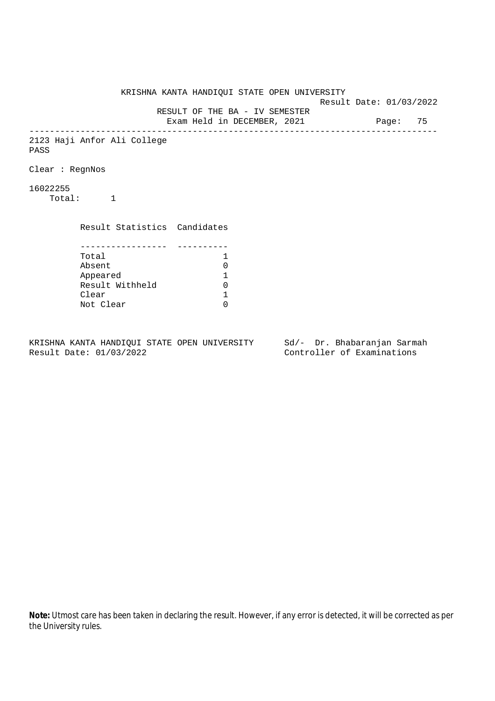KRISHNA KANTA HANDIQUI STATE OPEN UNIVERSITY Result Date: 01/03/2022 RESULT OF THE BA - IV SEMESTER Exam Held in DECEMBER, 2021 Page: 75 -------------------------------------------------------------------------------- 2123 Haji Anfor Ali College PASS Clear : RegnNos 16022255 Total: 1 Result Statistics Candidates ----------------- ---------- Total 1 Absent<br>
Appeared 1<br>
Result Withheld 0<br>
Clear 1 Appeared 1 Result Withheld Clear Not Clear 0

KRISHNA KANTA HANDIQUI STATE OPEN UNIVERSITY Sd/- Dr. Bhabaranjan Sarmah Result Date: 01/03/2022 Controller of Examinations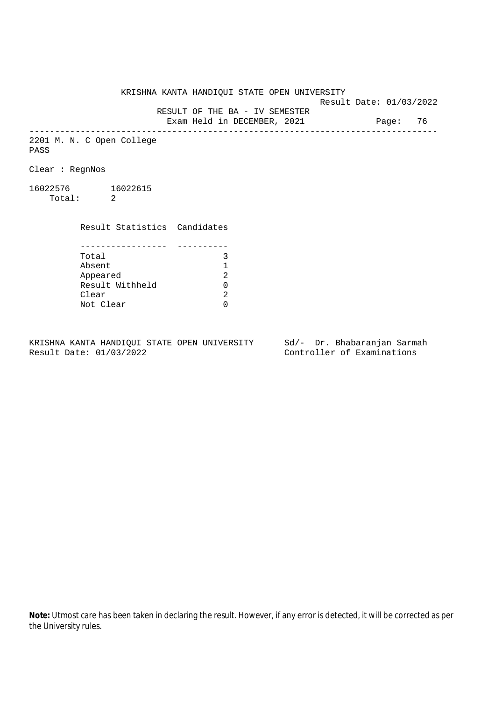Result Date: 01/03/2022

 RESULT OF THE BA - IV SEMESTER Exam Held in DECEMBER, 2021 Page: 76

--------------------------------------------------------------------------------

2201 M. N. C Open College PASS

Clear : RegnNos

16022576 16022615 Total: 2

Clear

 Result Statistics Candidates ----------------- ---------- Total 3<br>Absent 1 Absent 1 Appeared Result Withheld 0

Not Clear 0

KRISHNA KANTA HANDIQUI STATE OPEN UNIVERSITY Sd/- Dr. Bhabaranjan Sarmah Result Date: 01/03/2022 Controller of Examinations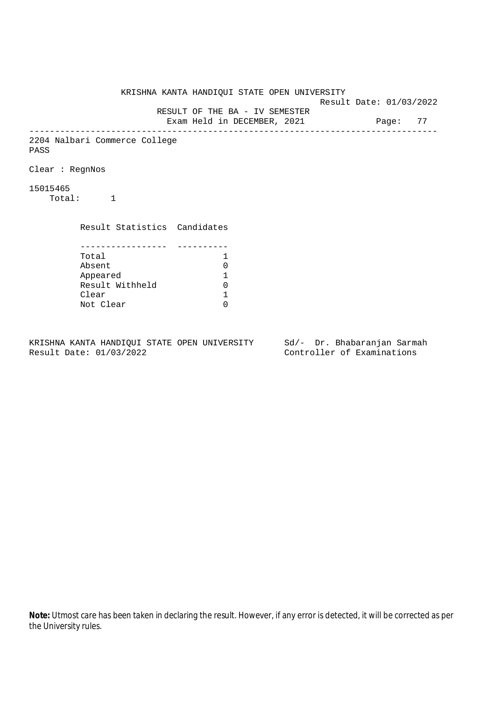KRISHNA KANTA HANDIQUI STATE OPEN UNIVERSITY Result Date: 01/03/2022 RESULT OF THE BA - IV SEMESTER Exam Held in DECEMBER, 2021 Page: 77 -------------------------------------------------------------------------------- 2204 Nalbari Commerce College PASS Clear : RegnNos 15015465 Total: 1 Result Statistics Candidates ----------------- ---------- Total 1 Absent<br>
Appeared 1<br>
Result Withheld 0<br>
Clear 1 Appeared 1 Result Withheld Clear Not Clear 0

KRISHNA KANTA HANDIQUI STATE OPEN UNIVERSITY Sd/- Dr. Bhabaranjan Sarmah Result Date: 01/03/2022 Controller of Examinations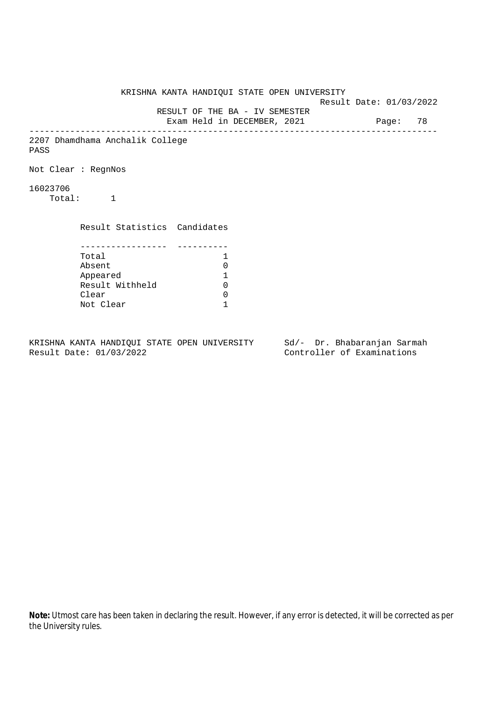KRISHNA KANTA HANDIQUI STATE OPEN UNIVERSITY Result Date: 01/03/2022 RESULT OF THE BA - IV SEMESTER Exam Held in DECEMBER, 2021 Page: 78 -------------------------------------------------------------------------------- 2207 Dhamdhama Anchalik College PASS Not Clear : RegnNos 16023706 Total: 1 Result Statistics Candidates ----------------- ---------- Total 1 Absent 0<br>
Appeared 1<br>
Result Withheld 0 Appeared 1 Result Withheld Clear 0 Not Clear 1

KRISHNA KANTA HANDIQUI STATE OPEN UNIVERSITY Sd/- Dr. Bhabaranjan Sarmah Result Date: 01/03/2022 Controller of Examinations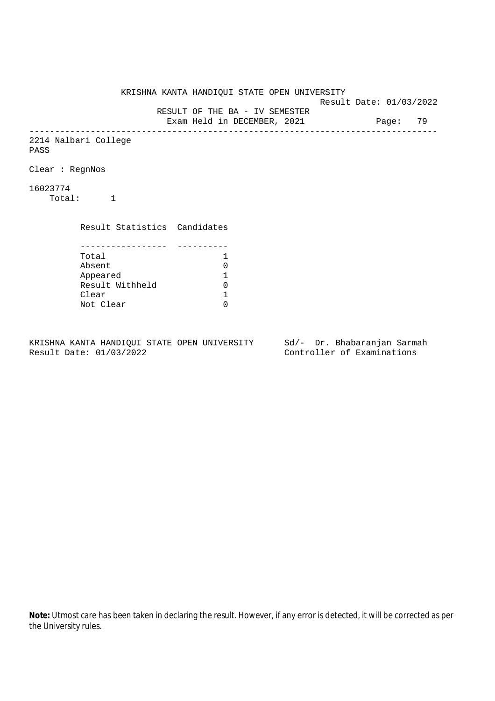KRISHNA KANTA HANDIQUI STATE OPEN UNIVERSITY Result Date: 01/03/2022 RESULT OF THE BA - IV SEMESTER Exam Held in DECEMBER, 2021 Page: 79 -------------------------------------------------------------------------------- 2214 Nalbari College PASS Clear : RegnNos 16023774 Total: 1 Result Statistics Candidates ----------------- ---------- Total 1<br>Absent 0 Absent<br>
Appeared 1<br>
Result Withheld 0<br>
Clear 1 Appeared 1 Result Withheld 0 Clear Not Clear 0

KRISHNA KANTA HANDIQUI STATE OPEN UNIVERSITY Sd/- Dr. Bhabaranjan Sarmah Result Date: 01/03/2022 Controller of Examinations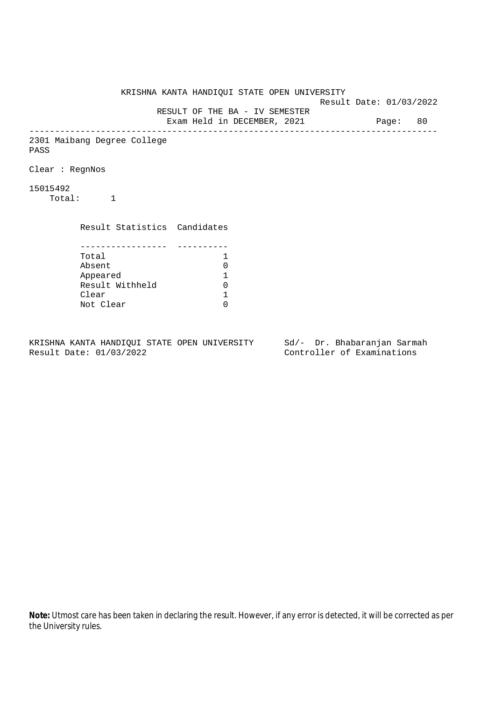KRISHNA KANTA HANDIQUI STATE OPEN UNIVERSITY Result Date: 01/03/2022 RESULT OF THE BA - IV SEMESTER Exam Held in DECEMBER, 2021 Page: 80 -------------------------------------------------------------------------------- 2301 Maibang Degree College PASS Clear : RegnNos 15015492 Total: 1 Result Statistics Candidates ----------------- ---------- Total 1 Absent<br>
Appeared 1<br>
Result Withheld 0<br>
Clear 1 Appeared 1 Result Withheld Clear Not Clear 0

KRISHNA KANTA HANDIQUI STATE OPEN UNIVERSITY Sd/- Dr. Bhabaranjan Sarmah Result Date: 01/03/2022 Controller of Examinations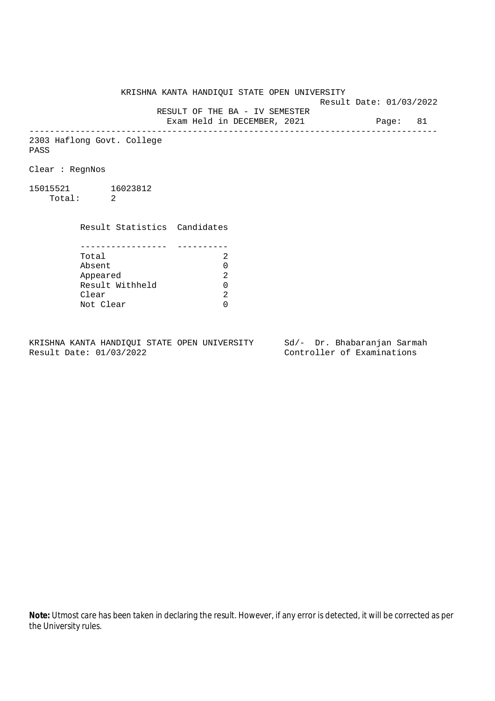Result Date: 01/03/2022

 RESULT OF THE BA - IV SEMESTER Exam Held in DECEMBER, 2021 Page: 81

--------------------------------------------------------------------------------

2303 Haflong Govt. College PASS

Clear : RegnNos

15015521 16023812 Total: 2

> Result Statistics Candidates ----------------- ---------- Total 2

> Absent<br>
> Appeared 2<br>
> Result Withheld 0<br>
> Clear 2 Appeared Result Withheld 0 Clear Not Clear 0

KRISHNA KANTA HANDIQUI STATE OPEN UNIVERSITY Sd/- Dr. Bhabaranjan Sarmah Result Date: 01/03/2022 Controller of Examinations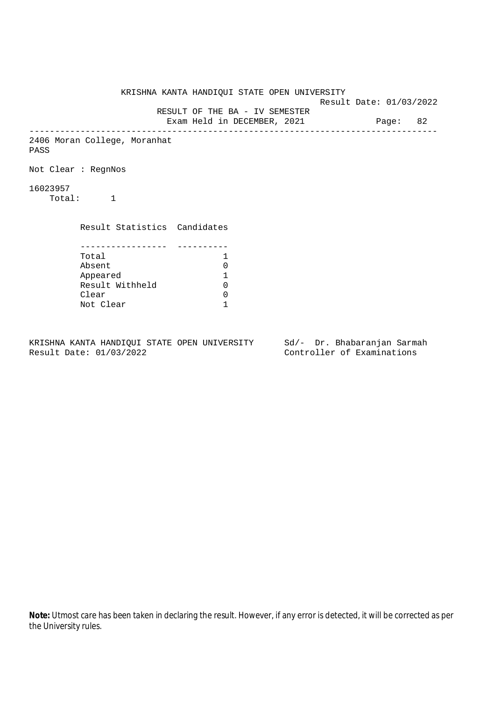KRISHNA KANTA HANDIQUI STATE OPEN UNIVERSITY Result Date: 01/03/2022 RESULT OF THE BA - IV SEMESTER Exam Held in DECEMBER, 2021 Page: 82 -------------------------------------------------------------------------------- 2406 Moran College, Moranhat PASS Not Clear : RegnNos 16023957 Total: 1 Result Statistics Candidates ----------------- ---------- Total 1 Absent 0<br>
Appeared 1<br>
Result Withheld 0 Appeared 1 Result Withheld Clear 0 Not Clear 1

KRISHNA KANTA HANDIQUI STATE OPEN UNIVERSITY Sd/- Dr. Bhabaranjan Sarmah Result Date: 01/03/2022 Controller of Examinations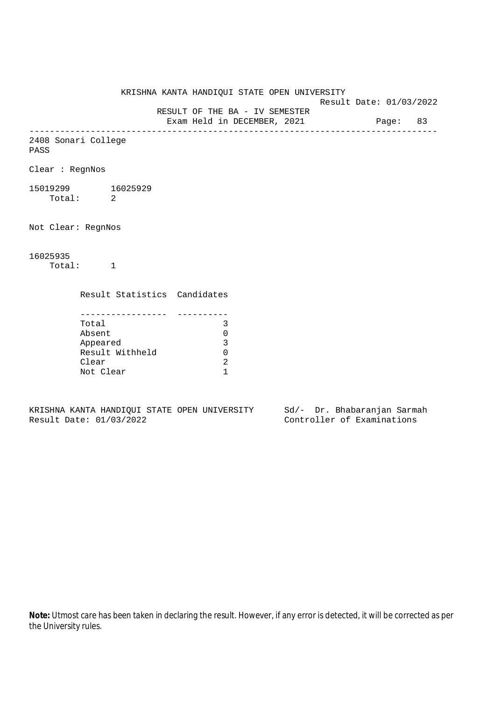KRISHNA KANTA HANDIQUI STATE OPEN UNIVERSITY Result Date: 01/03/2022 RESULT OF THE BA - IV SEMESTER Exam Held in DECEMBER, 2021 Page: 83 -------------------------------------------------------------------------------- 2408 Sonari College PASS Clear : RegnNos 15019299 16025929 Total: 2 Not Clear: RegnNos 16025935 Total: 1 Result Statistics Candidates ----------------- ---------- Total 3 Absent 0 Appeared 3 Result Withheld 0 Clear 2 Not Clear 1

KRISHNA KANTA HANDIQUI STATE OPEN UNIVERSITY Sd/- Dr. Bhabaranjan Sarmah Result Date: 01/03/2022 Controller of Examinations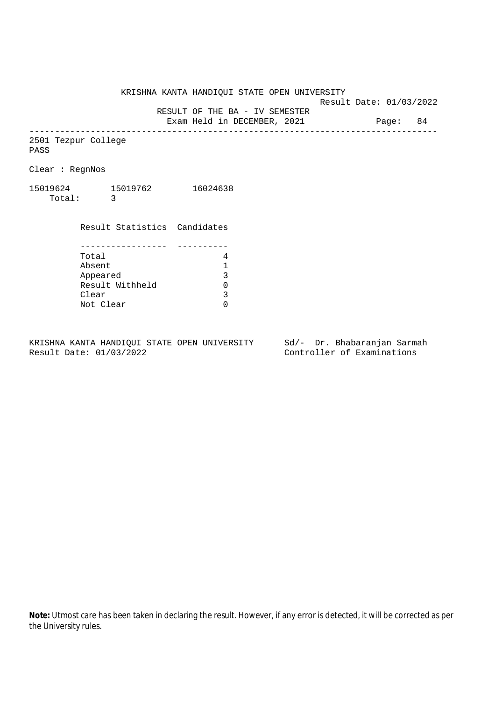Result Date: 01/03/2022

RESULT OF THE BA - IV SEMESTER

Exam Held in DECEMBER, 2021 Page: 84 --------------------------------------------------------------------------------

2501 Tezpur College PASS

Clear : RegnNos

15019624 15019762 16024638 Total: 3

> Result Statistics Candidates ----------------- ---------- Total 4<br>Absent 1 Absent<br>
> Appeared 1<br>
> Result Withheld 0<br>
> Clear 1<br>
> 3 Appeared Result Withheld Clear Not Clear 0

KRISHNA KANTA HANDIQUI STATE OPEN UNIVERSITY Sd/- Dr. Bhabaranjan Sarmah Result Date: 01/03/2022 Controller of Examinations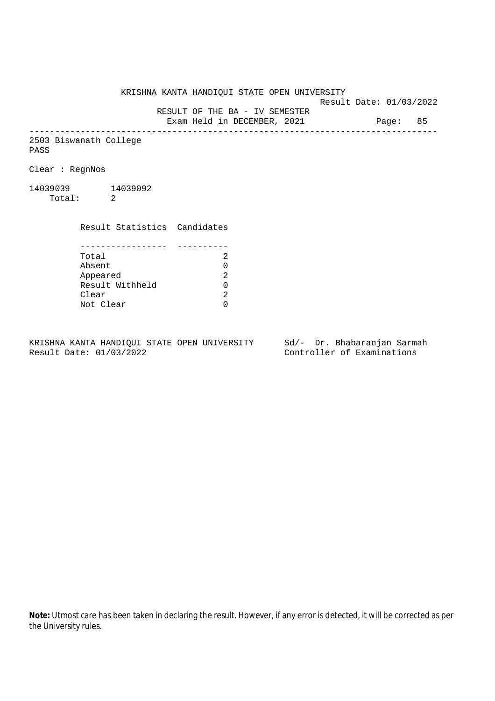Result Date: 01/03/2022

RESULT OF THE BA - IV SEMESTER

Exam Held in DECEMBER, 2021 Page: 85 --------------------------------------------------------------------------------

2503 Biswanath College PASS

Clear : RegnNos

14039039 14039092 Total: 2

> Result Statistics Candidates ----------------- ---------- Total 2 Appeared

> Absent<br>
> Appeared 2<br>
> Result Withheld 0<br>
> Clear 2 Result Withheld 0 Clear Not Clear 0

KRISHNA KANTA HANDIQUI STATE OPEN UNIVERSITY Sd/- Dr. Bhabaranjan Sarmah Result Date: 01/03/2022 Controller of Examinations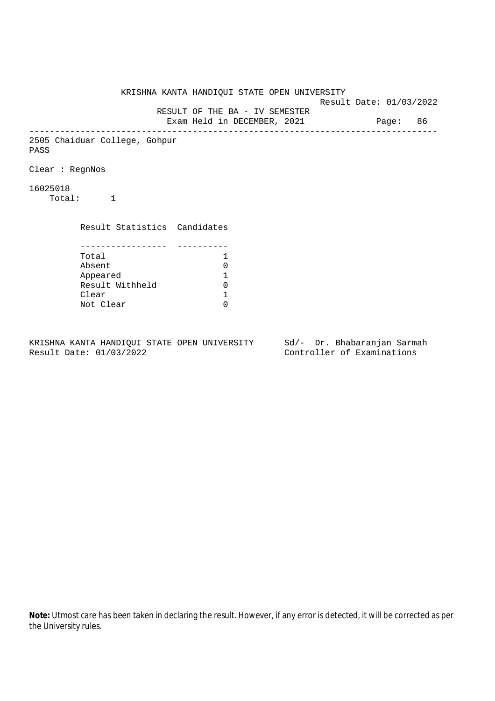KRISHNA KANTA HANDIQUI STATE OPEN UNIVERSITY Result Date: 01/03/2022 RESULT OF THE BA - IV SEMESTER Exam Held in DECEMBER, 2021 Page: 86 -------------------------------------------------------------------------------- 2505 Chaiduar College, Gohpur PASS Clear : RegnNos 16025018 Total: 1 Result Statistics Candidates ----------------- ---------- Total 1 Absent<br>
Appeared 1<br>
Result Withheld 0<br>
Clear 1 Appeared 1 Result Withheld Clear Not Clear 0

KRISHNA KANTA HANDIQUI STATE OPEN UNIVERSITY Sd/- Dr. Bhabaranjan Sarmah Result Date: 01/03/2022 Controller of Examinations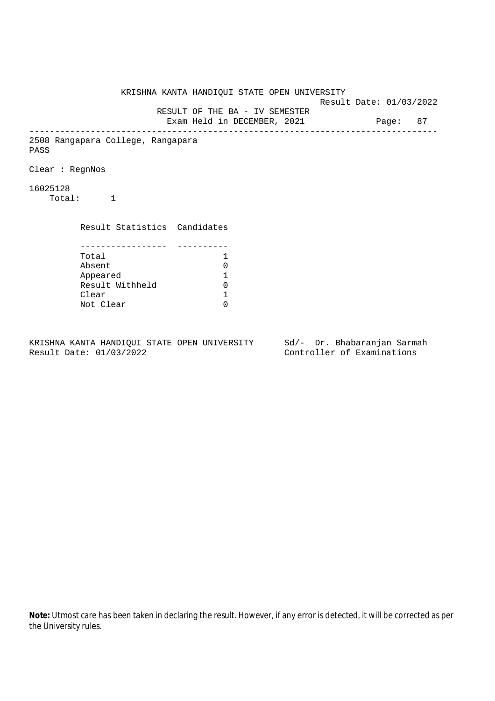KRISHNA KANTA HANDIQUI STATE OPEN UNIVERSITY Result Date: 01/03/2022 RESULT OF THE BA - IV SEMESTER Exam Held in DECEMBER, 2021 Page: 87 -------------------------------------------------------------------------------- 2508 Rangapara College, Rangapara PASS Clear : RegnNos 16025128 Total: 1 Result Statistics Candidates ----------------- ---------- Total 1 Absent<br>
Appeared 1<br>
Result Withheld 0<br>
Clear 1 Appeared 1 Result Withheld Clear Not Clear 0

KRISHNA KANTA HANDIQUI STATE OPEN UNIVERSITY Sd/- Dr. Bhabaranjan Sarmah Result Date: 01/03/2022 Controller of Examinations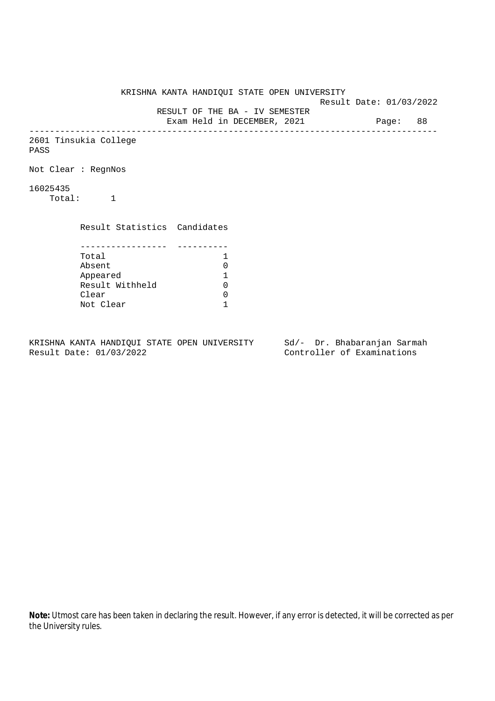KRISHNA KANTA HANDIQUI STATE OPEN UNIVERSITY Result Date: 01/03/2022 RESULT OF THE BA - IV SEMESTER Exam Held in DECEMBER, 2021 Page: 88 -------------------------------------------------------------------------------- 2601 Tinsukia College PASS Not Clear : RegnNos 16025435 Total: 1 Result Statistics Candidates ----------------- ---------- Total 1<br>Absent 0 Absent 0<br>
Appeared 1<br>
Result Withheld 0 Appeared 1 Result Withheld 0 Clear 0 Not Clear 1

KRISHNA KANTA HANDIQUI STATE OPEN UNIVERSITY Sd/- Dr. Bhabaranjan Sarmah Result Date: 01/03/2022 Controller of Examinations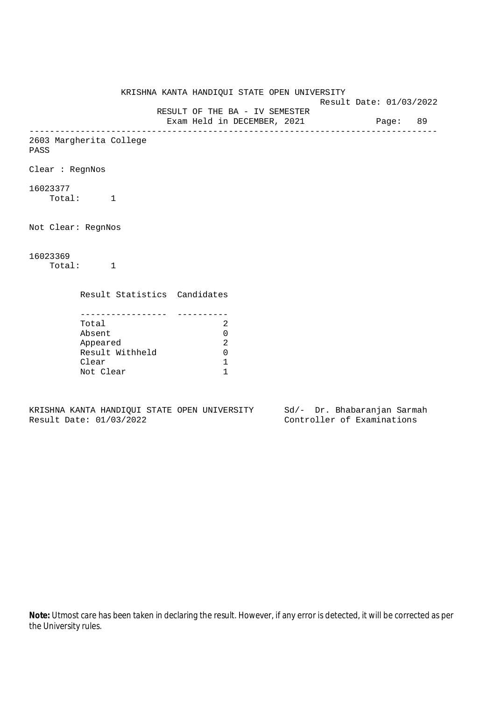KRISHNA KANTA HANDIQUI STATE OPEN UNIVERSITY Result Date: 01/03/2022 RESULT OF THE BA - IV SEMESTER Exam Held in DECEMBER, 2021 Page: 89 -------------------------------------------------------------------------------- 2603 Margherita College PASS Clear : RegnNos 16023377 Total: 1 Not Clear: RegnNos 16023369 Total: 1 Result Statistics Candidates ----------------- ---------- Total 2 Absent 0 Appeared 2 Result Withheld 0 Clear 1 Not Clear 1

KRISHNA KANTA HANDIQUI STATE OPEN UNIVERSITY Sd/- Dr. Bhabaranjan Sarmah Result Date: 01/03/2022 Controller of Examinations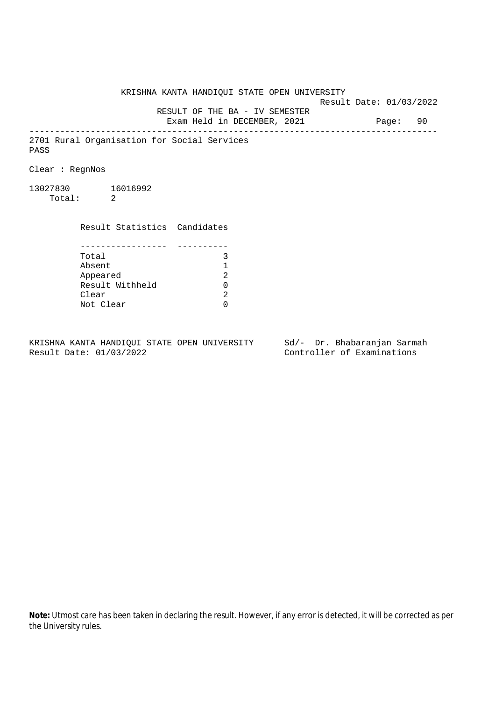KRISHNA KANTA HANDIQUI STATE OPEN UNIVERSITY Result Date: 01/03/2022 RESULT OF THE BA - IV SEMESTER Exam Held in DECEMBER, 2021 Page: 90 -------------------------------------------------------------------------------- 2701 Rural Organisation for Social Services PASS Clear : RegnNos 13027830 16016992 Total: 2 Result Statistics Candidates ----------------- ---------- Total 3 Absent 1 Appeared Result Withheld 0 Clear Not Clear 0

KRISHNA KANTA HANDIQUI STATE OPEN UNIVERSITY Sd/- Dr. Bhabaranjan Sarmah Result Date: 01/03/2022 Controller of Examinations